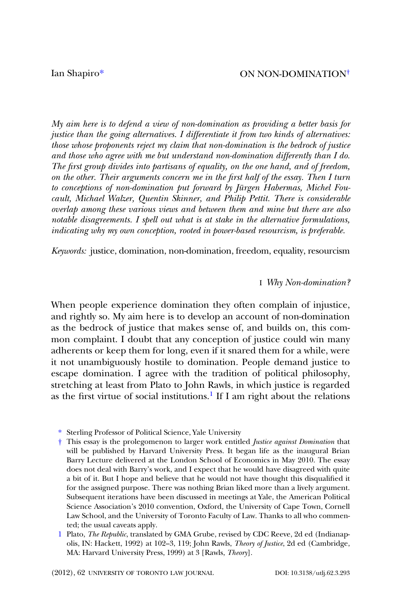My aim here is to defend a view of non-domination as providing a better basis for justice than the going alternatives. I differentiate it from two kinds of alternatives: those whose proponents reject my claim that non-domination is the bedrock of justice and those who agree with me but understand non-domination differently than I do. The first group divides into partisans of equality, on the one hand, and of freedom, on the other. Their arguments concern me in the first half of the essay. Then I turn to conceptions of non-domination put forward by Jürgen Habermas, Michel Foucault, Michael Walzer, Quentin Skinner, and Philip Pettit. There is considerable overlap among these various views and between them and mine but there are also notable disagreements. I spell out what is at stake in the alternative formulations, indicating why my own conception, rooted in power-based resourcism, is preferable.

Keywords: justice, domination, non-domination, freedom, equality, resourcism

# I Why Non-domination?

When people experience domination they often complain of injustice, and rightly so. My aim here is to develop an account of non-domination as the bedrock of justice that makes sense of, and builds on, this common complaint. I doubt that any conception of justice could win many adherents or keep them for long, even if it snared them for a while, were it not unambiguously hostile to domination. People demand justice to escape domination. I agree with the tradition of political philosophy, stretching at least from Plato to John Rawls, in which justice is regarded as the first virtue of social institutions.<sup>1</sup> If I am right about the relations

- \* Sterling Professor of Political Science, Yale University
- † This essay is the prolegomenon to larger work entitled Justice against Domination that will be published by Harvard University Press. It began life as the inaugural Brian Barry Lecture delivered at the London School of Economics in May 2010. The essay does not deal with Barry's work, and I expect that he would have disagreed with quite a bit of it. But I hope and believe that he would not have thought this disqualified it for the assigned purpose. There was nothing Brian liked more than a lively argument. Subsequent iterations have been discussed in meetings at Yale, the American Political Science Association's 2010 convention, Oxford, the University of Cape Town, Cornell Law School, and the University of Toronto Faculty of Law. Thanks to all who commented; the usual caveats apply.
- 1 Plato, The Republic, translated by GMA Grube, revised by CDC Reeve, 2d ed (Indianapolis, IN: Hackett, 1992) at 102–3, 119; John Rawls, *Theory of Justice*, 2d ed (Cambridge, MA: Harvard University Press, 1999) at 3 [Rawls, *Theory*].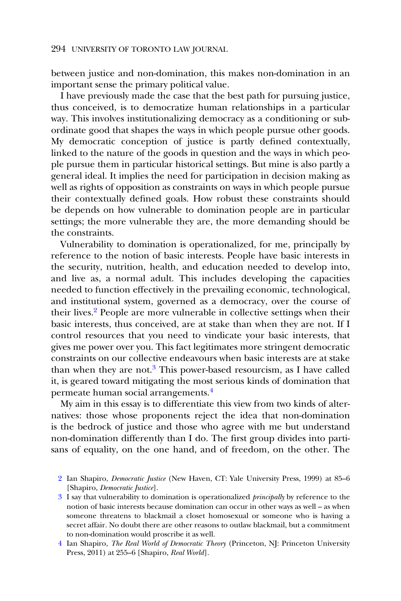between justice and non-domination, this makes non-domination in an important sense the primary political value.

I have previously made the case that the best path for pursuing justice, thus conceived, is to democratize human relationships in a particular way. This involves institutionalizing democracy as a conditioning or subordinate good that shapes the ways in which people pursue other goods. My democratic conception of justice is partly defined contextually, linked to the nature of the goods in question and the ways in which people pursue them in particular historical settings. But mine is also partly a general ideal. It implies the need for participation in decision making as well as rights of opposition as constraints on ways in which people pursue their contextually defined goals. How robust these constraints should be depends on how vulnerable to domination people are in particular settings; the more vulnerable they are, the more demanding should be the constraints.

Vulnerability to domination is operationalized, for me, principally by reference to the notion of basic interests. People have basic interests in the security, nutrition, health, and education needed to develop into, and live as, a normal adult. This includes developing the capacities needed to function effectively in the prevailing economic, technological, and institutional system, governed as a democracy, over the course of their lives.2 People are more vulnerable in collective settings when their basic interests, thus conceived, are at stake than when they are not. If I control resources that you need to vindicate your basic interests, that gives me power over you. This fact legitimates more stringent democratic constraints on our collective endeavours when basic interests are at stake than when they are not.<sup>3</sup> This power-based resourcism, as I have called it, is geared toward mitigating the most serious kinds of domination that permeate human social arrangements.<sup>4</sup>

My aim in this essay is to differentiate this view from two kinds of alternatives: those whose proponents reject the idea that non-domination is the bedrock of justice and those who agree with me but understand non-domination differently than I do. The first group divides into partisans of equality, on the one hand, and of freedom, on the other. The

2 Ian Shapiro, Democratic Justice (New Haven, CT: Yale University Press, 1999) at 85–6 [Shapiro, Democratic Justice].

3 I say that vulnerability to domination is operationalized principally by reference to the notion of basic interests because domination can occur in other ways as well – as when someone threatens to blackmail a closet homosexual or someone who is having a secret affair. No doubt there are other reasons to outlaw blackmail, but a commitment to non-domination would proscribe it as well.

4 Ian Shapiro, The Real World of Democratic Theory (Princeton, NJ: Princeton University Press, 2011) at 255–6 [Shapiro, Real World].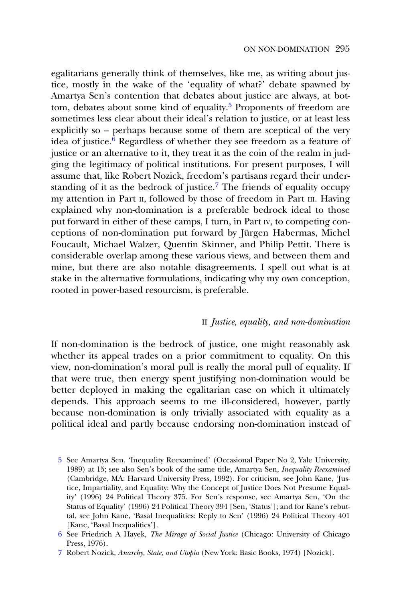egalitarians generally think of themselves, like me, as writing about justice, mostly in the wake of the 'equality of what?' debate spawned by Amartya Sen's contention that debates about justice are always, at bottom, debates about some kind of equality.<sup>5</sup> Proponents of freedom are sometimes less clear about their ideal's relation to justice, or at least less explicitly so – perhaps because some of them are sceptical of the very idea of justice.<sup>6</sup> Regardless of whether they see freedom as a feature of justice or an alternative to it, they treat it as the coin of the realm in judging the legitimacy of political institutions. For present purposes,  $\vec{I}$  will assume that, like Robert Nozick, freedom's partisans regard their understanding of it as the bedrock of justice.<sup>7</sup> The friends of equality occupy my attention in Part II, followed by those of freedom in Part III. Having explained why non-domination is a preferable bedrock ideal to those put forward in either of these camps, I turn, in Part IV, to competing conceptions of non-domination put forward by Jürgen Habermas, Michel Foucault, Michael Walzer, Quentin Skinner, and Philip Pettit. There is considerable overlap among these various views, and between them and mine, but there are also notable disagreements. I spell out what is at stake in the alternative formulations, indicating why my own conception, rooted in power-based resourcism, is preferable.

# II Justice, equality, and non-domination

If non-domination is the bedrock of justice, one might reasonably ask whether its appeal trades on a prior commitment to equality. On this view, non-domination's moral pull is really the moral pull of equality. If that were true, then energy spent justifying non-domination would be better deployed in making the egalitarian case on which it ultimately depends. This approach seems to me ill-considered, however, partly because non-domination is only trivially associated with equality as a political ideal and partly because endorsing non-domination instead of

<sup>5</sup> See Amartya Sen, 'Inequality Reexamined' (Occasional Paper No 2, Yale University, 1989) at 15; see also Sen's book of the same title, Amartya Sen, Inequality Reexamined (Cambridge, MA: Harvard University Press, 1992). For criticism, see John Kane, 'Justice, Impartiality, and Equality: Why the Concept of Justice Does Not Presume Equality' (1996) 24 Political Theory 375. For Sen's response, see Amartya Sen, 'On the Status of Equality' (1996) 24 Political Theory 394 [Sen, 'Status']; and for Kane's rebuttal, see John Kane, 'Basal Inequalities: Reply to Sen' (1996) 24 Political Theory 401 [Kane, 'Basal Inequalities'].

<sup>6</sup> See Friedrich A Hayek, The Mirage of Social Justice (Chicago: University of Chicago Press, 1976).

<sup>7</sup> Robert Nozick, Anarchy, State, and Utopia (New York: Basic Books, 1974) [Nozick].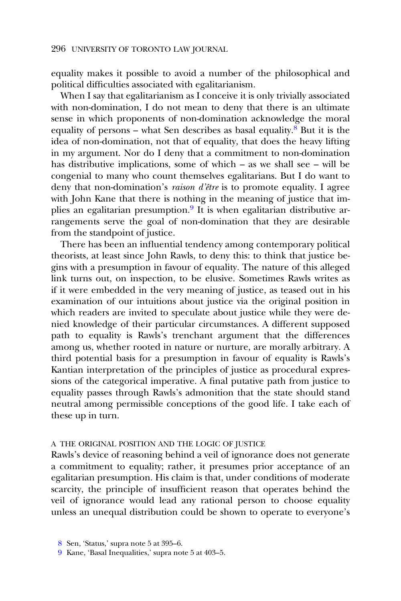equality makes it possible to avoid a number of the philosophical and political difficulties associated with egalitarianism.

When I say that egalitarianism as I conceive it is only trivially associated with non-domination, I do not mean to deny that there is an ultimate sense in which proponents of non-domination acknowledge the moral equality of persons – what Sen describes as basal equality.<sup>8</sup> But it is the idea of non-domination, not that of equality, that does the heavy lifting in my argument. Nor do I deny that a commitment to non-domination has distributive implications, some of which – as we shall see – will be congenial to many who count themselves egalitarians. But I do want to deny that non-domination's *raison d'être* is to promote equality. I agree with John Kane that there is nothing in the meaning of justice that implies an egalitarian presumption.<sup>9</sup> It is when egalitarian distributive arrangements serve the goal of non-domination that they are desirable from the standpoint of justice.

There has been an influential tendency among contemporary political theorists, at least since John Rawls, to deny this: to think that justice begins with a presumption in favour of equality. The nature of this alleged link turns out, on inspection, to be elusive. Sometimes Rawls writes as if it were embedded in the very meaning of justice, as teased out in his examination of our intuitions about justice via the original position in which readers are invited to speculate about justice while they were denied knowledge of their particular circumstances. A different supposed path to equality is Rawls's trenchant argument that the differences among us, whether rooted in nature or nurture, are morally arbitrary. A third potential basis for a presumption in favour of equality is Rawls's Kantian interpretation of the principles of justice as procedural expressions of the categorical imperative. A final putative path from justice to equality passes through Rawls's admonition that the state should stand neutral among permissible conceptions of the good life. I take each of these up in turn.

# A THE ORIGINAL POSITION AND THE LOGIC OF JUSTICE

Rawls's device of reasoning behind a veil of ignorance does not generate a commitment to equality; rather, it presumes prior acceptance of an egalitarian presumption. His claim is that, under conditions of moderate scarcity, the principle of insufficient reason that operates behind the veil of ignorance would lead any rational person to choose equality unless an unequal distribution could be shown to operate to everyone's

<sup>8</sup> Sen, 'Status,' supra note 5 at 395–6.

<sup>9</sup> Kane, 'Basal Inequalities,' supra note 5 at 403–5.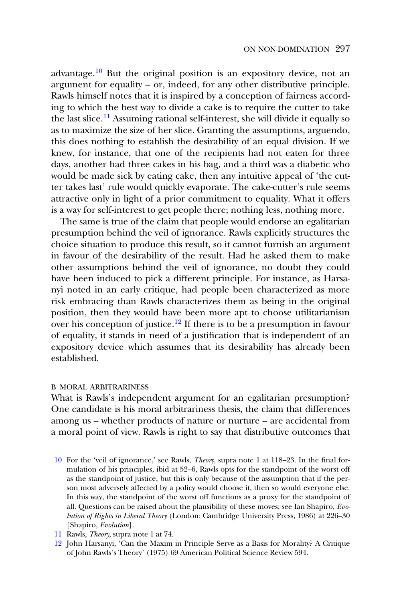advantage.<sup>10</sup> But the original position is an expository device, not an argument for equality – or, indeed, for any other distributive principle. Rawls himself notes that it is inspired by a conception of fairness according to which the best way to divide a cake is to require the cutter to take the last slice.<sup>11</sup> Assuming rational self-interest, she will divide it equally so as to maximize the size of her slice. Granting the assumptions, arguendo, this does nothing to establish the desirability of an equal division. If we knew, for instance, that one of the recipients had not eaten for three days, another had three cakes in his bag, and a third was a diabetic who would be made sick by eating cake, then any intuitive appeal of 'the cutter takes last' rule would quickly evaporate. The cake-cutter's rule seems attractive only in light of a prior commitment to equality. What it offers is a way for self-interest to get people there; nothing less, nothing more.

The same is true of the claim that people would endorse an egalitarian presumption behind the veil of ignorance. Rawls explicitly structures the choice situation to produce this result, so it cannot furnish an argument in favour of the desirability of the result. Had he asked them to make other assumptions behind the veil of ignorance, no doubt they could have been induced to pick a different principle. For instance, as Harsanyi noted in an early critique, had people been characterized as more risk embracing than Rawls characterizes them as being in the original position, then they would have been more apt to choose utilitarianism over his conception of justice.<sup>12</sup> If there is to be a presumption in favour of equality, it stands in need of a justification that is independent of an expository device which assumes that its desirability has already been established.

# B MORAL ARBITRARINESS

What is Rawls's independent argument for an egalitarian presumption? One candidate is his moral arbitrariness thesis, the claim that differences among us – whether products of nature or nurture – are accidental from a moral point of view. Rawls is right to say that distributive outcomes that

- 10 For the 'veil of ignorance,' see Rawls, Theory, supra note 1 at 118–23. In the final formulation of his principles, ibid at 52–6, Rawls opts for the standpoint of the worst off as the standpoint of justice, but this is only because of the assumption that if the person most adversely affected by a policy would choose it, then so would everyone else. In this way, the standpoint of the worst off functions as a proxy for the standpoint of all. Questions can be raised about the plausibility of these moves; see Ian Shapiro, Evolution of Rights in Liberal Theory (London: Cambridge University Press, 1986) at 226–30 [Shapiro, Evolution].
- 11 Rawls, Theory, supra note 1 at 74.
- 12 John Harsanyi, 'Can the Maxim in Principle Serve as a Basis for Morality? A Critique of John Rawls's Theory' (1975) 69 American Political Science Review 594.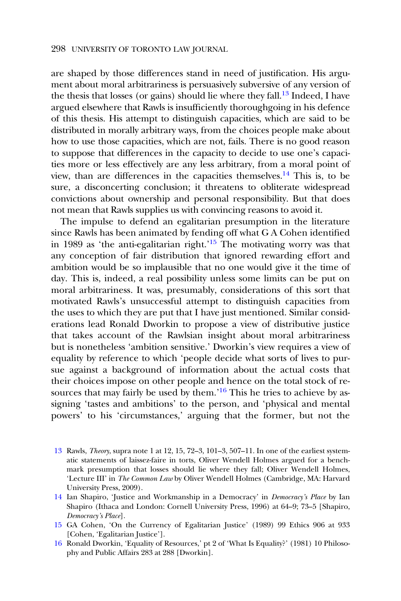are shaped by those differences stand in need of justification. His argument about moral arbitrariness is persuasively subversive of any version of the thesis that losses (or gains) should lie where they fall.<sup>13</sup> Indeed, I have argued elsewhere that Rawls is insufficiently thoroughgoing in his defence of this thesis. His attempt to distinguish capacities, which are said to be distributed in morally arbitrary ways, from the choices people make about how to use those capacities, which are not, fails. There is no good reason to suppose that differences in the capacity to decide to use one's capacities more or less effectively are any less arbitrary, from a moral point of view, than are differences in the capacities themselves. $14$  This is, to be sure, a disconcerting conclusion; it threatens to obliterate widespread convictions about ownership and personal responsibility. But that does not mean that Rawls supplies us with convincing reasons to avoid it.

The impulse to defend an egalitarian presumption in the literature since Rawls has been animated by fending off what G A Cohen identified in 1989 as 'the anti-egalitarian right.' <sup>15</sup> The motivating worry was that any conception of fair distribution that ignored rewarding effort and ambition would be so implausible that no one would give it the time of day. This is, indeed, a real possibility unless some limits can be put on moral arbitrariness. It was, presumably, considerations of this sort that motivated Rawls's unsuccessful attempt to distinguish capacities from the uses to which they are put that I have just mentioned. Similar considerations lead Ronald Dworkin to propose a view of distributive justice that takes account of the Rawlsian insight about moral arbitrariness but is nonetheless 'ambition sensitive.' Dworkin's view requires a view of equality by reference to which 'people decide what sorts of lives to pursue against a background of information about the actual costs that their choices impose on other people and hence on the total stock of resources that may fairly be used by them.'<sup>16</sup> This he tries to achieve by assigning 'tastes and ambitions' to the person, and 'physical and mental powers' to his 'circumstances,' arguing that the former, but not the

- 13 Rawls, Theory, supra note 1 at 12, 15, 72–3, 101–3, 507–11. In one of the earliest systematic statements of laissez-faire in torts, Oliver Wendell Holmes argued for a benchmark presumption that losses should lie where they fall; Oliver Wendell Holmes, 'Lecture III' in The Common Law by Oliver Wendell Holmes (Cambridge, MA: Harvard University Press, 2009).
- 14 Ian Shapiro, 'Justice and Workmanship in a Democracy' in Democracy's Place by Ian Shapiro (Ithaca and London: Cornell University Press, 1996) at 64–9; 73–5 [Shapiro, Democracy's Place].
- 15 GA Cohen, 'On the Currency of Egalitarian Justice' (1989) 99 Ethics 906 at 933 [Cohen, 'Egalitarian Justice'].
- 16 Ronald Dworkin, 'Equality of Resources,' pt 2 of 'What Is Equality?' (1981) 10 Philosophy and Public Affairs 283 at 288 [Dworkin].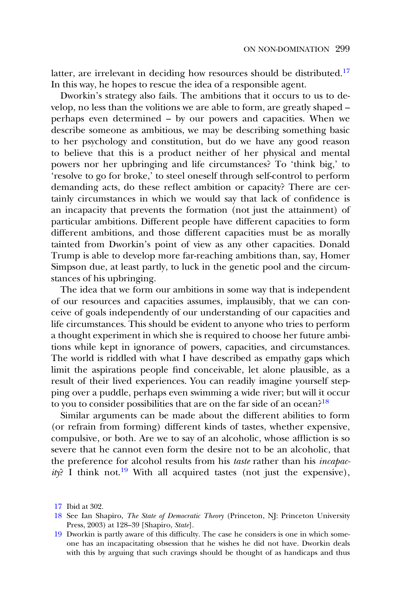latter, are irrelevant in deciding how resources should be distributed.<sup>17</sup> In this way, he hopes to rescue the idea of a responsible agent.

Dworkin's strategy also fails. The ambitions that it occurs to us to develop, no less than the volitions we are able to form, are greatly shaped – perhaps even determined – by our powers and capacities. When we describe someone as ambitious, we may be describing something basic to her psychology and constitution, but do we have any good reason to believe that this is a product neither of her physical and mental powers nor her upbringing and life circumstances? To 'think big,' to 'resolve to go for broke,' to steel oneself through self-control to perform demanding acts, do these reflect ambition or capacity? There are certainly circumstances in which we would say that lack of confidence is an incapacity that prevents the formation (not just the attainment) of particular ambitions. Different people have different capacities to form different ambitions, and those different capacities must be as morally tainted from Dworkin's point of view as any other capacities. Donald Trump is able to develop more far-reaching ambitions than, say, Homer Simpson due, at least partly, to luck in the genetic pool and the circumstances of his upbringing.

The idea that we form our ambitions in some way that is independent of our resources and capacities assumes, implausibly, that we can conceive of goals independently of our understanding of our capacities and life circumstances. This should be evident to anyone who tries to perform a thought experiment in which she is required to choose her future ambitions while kept in ignorance of powers, capacities, and circumstances. The world is riddled with what I have described as empathy gaps which limit the aspirations people find conceivable, let alone plausible, as a result of their lived experiences. You can readily imagine yourself stepping over a puddle, perhaps even swimming a wide river; but will it occur to you to consider possibilities that are on the far side of an ocean?18

Similar arguments can be made about the different abilities to form (or refrain from forming) different kinds of tastes, whether expensive, compulsive, or both. Are we to say of an alcoholic, whose affliction is so severe that he cannot even form the desire not to be an alcoholic, that the preference for alcohol results from his *taste* rather than his *incapac*ity? I think not.<sup>19</sup> With all acquired tastes (not just the expensive),

<sup>17</sup> Ibid at 302.

<sup>18</sup> See Ian Shapiro, The State of Democratic Theory (Princeton, NJ: Princeton University Press, 2003) at 128–39 [Shapiro, State].

<sup>19</sup> Dworkin is partly aware of this difficulty. The case he considers is one in which someone has an incapacitating obsession that he wishes he did not have. Dworkin deals with this by arguing that such cravings should be thought of as handicaps and thus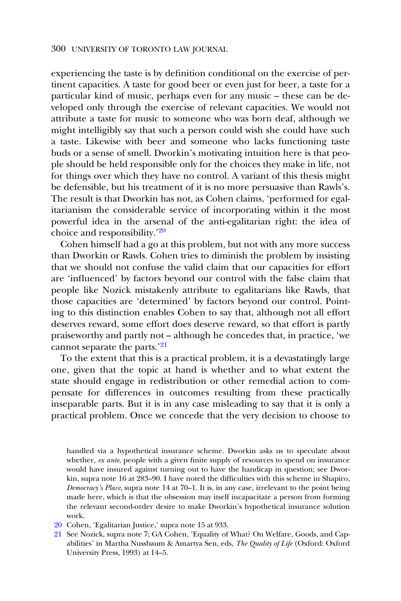experiencing the taste is by definition conditional on the exercise of pertinent capacities. A taste for good beer or even just for beer, a taste for a particular kind of music, perhaps even for any music – these can be developed only through the exercise of relevant capacities. We would not attribute a taste for music to someone who was born deaf, although we might intelligibly say that such a person could wish she could have such a taste. Likewise with beer and someone who lacks functioning taste buds or a sense of smell. Dworkin's motivating intuition here is that people should be held responsible only for the choices they make in life, not for things over which they have no control. A variant of this thesis might be defensible, but his treatment of it is no more persuasive than Rawls's. The result is that Dworkin has not, as Cohen claims, 'performed for egalitarianism the considerable service of incorporating within it the most powerful idea in the arsenal of the anti-egalitarian right: the idea of choice and responsibility.'20

Cohen himself had a go at this problem, but not with any more success than Dworkin or Rawls. Cohen tries to diminish the problem by insisting that we should not confuse the valid claim that our capacities for effort are 'influenced' by factors beyond our control with the false claim that people like Nozick mistakenly attribute to egalitarians like Rawls, that those capacities are 'determined' by factors beyond our control. Pointing to this distinction enables Cohen to say that, although not all effort deserves reward, some effort does deserve reward, so that effort is partly praiseworthy and partly not – although he concedes that, in practice, 'we cannot separate the parts.'<sup>21</sup>

To the extent that this is a practical problem, it is a devastatingly large one, given that the topic at hand is whether and to what extent the state should engage in redistribution or other remedial action to compensate for differences in outcomes resulting from these practically inseparable parts. But it is in any case misleading to say that it is only a practical problem. Once we concede that the very decision to choose to

handled via a hypothetical insurance scheme. Dworkin asks us to speculate about whether, ex ante, people with a given finite supply of resources to spend on insurance would have insured against turning out to have the handicap in question; see Dworkin, supra note 16 at 283–90. I have noted the difficulties with this scheme in Shapiro, Democracy's Place, supra note 14 at 70–1. It is, in any case, irrelevant to the point being made here, which is that the obsession may itself incapacitate a person from forming the relevant second-order desire to make Dworkin's hypothetical insurance solution work.

- 20 Cohen, 'Egalitarian Justice,' supra note 15 at 933.
- 21 See Nozick, supra note 7; GA Cohen, 'Equality of What? On Welfare, Goods, and Capabilities' in Martha Nussbaum & Amartya Sen, eds, The Quality of Life (Oxford: Oxford University Press, 1993) at 14–5.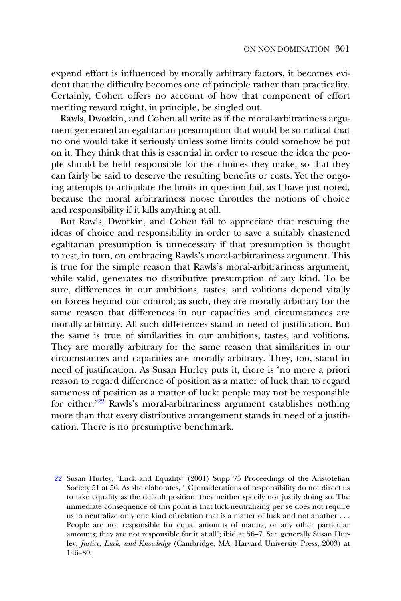expend effort is influenced by morally arbitrary factors, it becomes evident that the difficulty becomes one of principle rather than practicality. Certainly, Cohen offers no account of how that component of effort meriting reward might, in principle, be singled out.

Rawls, Dworkin, and Cohen all write as if the moral-arbitrariness argument generated an egalitarian presumption that would be so radical that no one would take it seriously unless some limits could somehow be put on it. They think that this is essential in order to rescue the idea the people should be held responsible for the choices they make, so that they can fairly be said to deserve the resulting benefits or costs. Yet the ongoing attempts to articulate the limits in question fail, as I have just noted, because the moral arbitrariness noose throttles the notions of choice and responsibility if it kills anything at all.

But Rawls, Dworkin, and Cohen fail to appreciate that rescuing the ideas of choice and responsibility in order to save a suitably chastened egalitarian presumption is unnecessary if that presumption is thought to rest, in turn, on embracing Rawls's moral-arbitrariness argument. This is true for the simple reason that Rawls's moral-arbitrariness argument, while valid, generates no distributive presumption of any kind. To be sure, differences in our ambitions, tastes, and volitions depend vitally on forces beyond our control; as such, they are morally arbitrary for the same reason that differences in our capacities and circumstances are morally arbitrary. All such differences stand in need of justification. But the same is true of similarities in our ambitions, tastes, and volitions. They are morally arbitrary for the same reason that similarities in our circumstances and capacities are morally arbitrary. They, too, stand in need of justification. As Susan Hurley puts it, there is 'no more a priori reason to regard difference of position as a matter of luck than to regard sameness of position as a matter of luck: people may not be responsible for either.<sup>'22</sup> Rawls's moral-arbitrariness argument establishes nothing more than that every distributive arrangement stands in need of a justification. There is no presumptive benchmark.

<sup>22</sup> Susan Hurley, 'Luck and Equality' (2001) Supp 75 Proceedings of the Aristotelian Society 51 at 56. As she elaborates, '[C]onsiderations of responsibility do not direct us to take equality as the default position: they neither specify nor justify doing so. The immediate consequence of this point is that luck-neutralizing per se does not require us to neutralize only one kind of relation that is a matter of luck and not another . . . People are not responsible for equal amounts of manna, or any other particular amounts; they are not responsible for it at all'; ibid at 56–7. See generally Susan Hurley, Justice, Luck, and Knowledge (Cambridge, MA: Harvard University Press, 2003) at 146–80.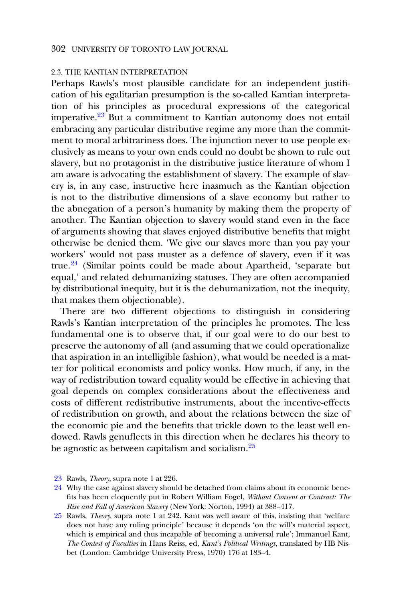#### 2.3. THE KANTIAN INTERPRETATION

Perhaps Rawls's most plausible candidate for an independent justification of his egalitarian presumption is the so-called Kantian interpretation of his principles as procedural expressions of the categorical imperative.23 But a commitment to Kantian autonomy does not entail embracing any particular distributive regime any more than the commitment to moral arbitrariness does. The injunction never to use people exclusively as means to your own ends could no doubt be shown to rule out slavery, but no protagonist in the distributive justice literature of whom I am aware is advocating the establishment of slavery. The example of slavery is, in any case, instructive here inasmuch as the Kantian objection is not to the distributive dimensions of a slave economy but rather to the abnegation of a person's humanity by making them the property of another. The Kantian objection to slavery would stand even in the face of arguments showing that slaves enjoyed distributive benefits that might otherwise be denied them. 'We give our slaves more than you pay your workers' would not pass muster as a defence of slavery, even if it was true.<sup>24</sup> (Similar points could be made about Apartheid, 'separate but equal,' and related dehumanizing statuses. They are often accompanied by distributional inequity, but it is the dehumanization, not the inequity, that makes them objectionable).

There are two different objections to distinguish in considering Rawls's Kantian interpretation of the principles he promotes. The less fundamental one is to observe that, if our goal were to do our best to preserve the autonomy of all (and assuming that we could operationalize that aspiration in an intelligible fashion), what would be needed is a matter for political economists and policy wonks. How much, if any, in the way of redistribution toward equality would be effective in achieving that goal depends on complex considerations about the effectiveness and costs of different redistributive instruments, about the incentive-effects of redistribution on growth, and about the relations between the size of the economic pie and the benefits that trickle down to the least well endowed. Rawls genuflects in this direction when he declares his theory to be agnostic as between capitalism and socialism.<sup>25</sup>

<sup>23</sup> Rawls, Theory, supra note 1 at 226.

<sup>24</sup> Why the case against slavery should be detached from claims about its economic benefits has been eloquently put in Robert William Fogel, Without Consent or Contract: The Rise and Fall of American Slavery (New York: Norton, 1994) at 388–417.

<sup>25</sup> Rawls, Theory, supra note 1 at 242. Kant was well aware of this, insisting that 'welfare does not have any ruling principle' because it depends 'on the will's material aspect, which is empirical and thus incapable of becoming a universal rule'; Immanuel Kant, The Contest of Faculties in Hans Reiss, ed, Kant's Political Writings, translated by HB Nisbet (London: Cambridge University Press, 1970) 176 at 183–4.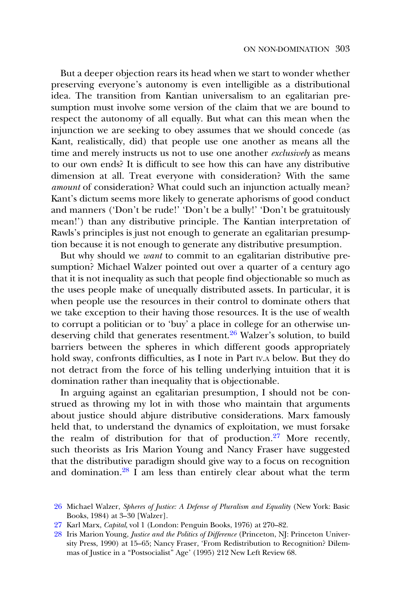But a deeper objection rears its head when we start to wonder whether preserving everyone's autonomy is even intelligible as a distributional idea. The transition from Kantian universalism to an egalitarian presumption must involve some version of the claim that we are bound to respect the autonomy of all equally. But what can this mean when the injunction we are seeking to obey assumes that we should concede (as Kant, realistically, did) that people use one another as means all the time and merely instructs us not to use one another exclusively as means to our own ends? It is difficult to see how this can have any distributive dimension at all. Treat everyone with consideration? With the same amount of consideration? What could such an injunction actually mean? Kant's dictum seems more likely to generate aphorisms of good conduct and manners ('Don't be rude!' 'Don't be a bully!' 'Don't be gratuitously mean!') than any distributive principle. The Kantian interpretation of Rawls's principles is just not enough to generate an egalitarian presumption because it is not enough to generate any distributive presumption.

But why should we want to commit to an egalitarian distributive presumption? Michael Walzer pointed out over a quarter of a century ago that it is not inequality as such that people find objectionable so much as the uses people make of unequally distributed assets. In particular, it is when people use the resources in their control to dominate others that we take exception to their having those resources. It is the use of wealth to corrupt a politician or to 'buy' a place in college for an otherwise undeserving child that generates resentment.<sup>26</sup> Walzer's solution, to build barriers between the spheres in which different goods appropriately hold sway, confronts difficulties, as I note in Part IV.A below. But they do not detract from the force of his telling underlying intuition that it is domination rather than inequality that is objectionable.

In arguing against an egalitarian presumption, I should not be construed as throwing my lot in with those who maintain that arguments about justice should abjure distributive considerations. Marx famously held that, to understand the dynamics of exploitation, we must forsake the realm of distribution for that of production.<sup>27</sup> More recently, such theorists as Iris Marion Young and Nancy Fraser have suggested that the distributive paradigm should give way to a focus on recognition and domination. $28$  I am less than entirely clear about what the term

27 Karl Marx, Capital, vol 1 (London: Penguin Books, 1976) at 270–82.

<sup>26</sup> Michael Walzer, Spheres of Justice: A Defense of Pluralism and Equality (New York: Basic Books, 1984) at 3–30 [Walzer].

<sup>28</sup> Iris Marion Young, Justice and the Politics of Difference (Princeton, NJ: Princeton University Press, 1990) at 15–65; Nancy Fraser, 'From Redistribution to Recognition? Dilemmas of Justice in a "Postsocialist" Age' (1995) 212 New Left Review 68.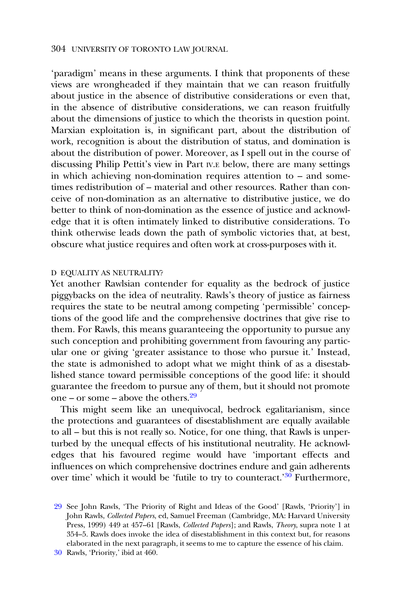'paradigm' means in these arguments. I think that proponents of these views are wrongheaded if they maintain that we can reason fruitfully about justice in the absence of distributive considerations or even that, in the absence of distributive considerations, we can reason fruitfully about the dimensions of justice to which the theorists in question point. Marxian exploitation is, in significant part, about the distribution of work, recognition is about the distribution of status, and domination is about the distribution of power. Moreover, as I spell out in the course of discussing Philip Pettit's view in Part IV.E below, there are many settings in which achieving non-domination requires attention to – and sometimes redistribution of – material and other resources. Rather than conceive of non-domination as an alternative to distributive justice, we do better to think of non-domination as the essence of justice and acknowledge that it is often intimately linked to distributive considerations. To think otherwise leads down the path of symbolic victories that, at best, obscure what justice requires and often work at cross-purposes with it.

# D EQUALITY AS NEUTRALITY?

Yet another Rawlsian contender for equality as the bedrock of justice piggybacks on the idea of neutrality. Rawls's theory of justice as fairness requires the state to be neutral among competing 'permissible' conceptions of the good life and the comprehensive doctrines that give rise to them. For Rawls, this means guaranteeing the opportunity to pursue any such conception and prohibiting government from favouring any particular one or giving 'greater assistance to those who pursue it.' Instead, the state is admonished to adopt what we might think of as a disestablished stance toward permissible conceptions of the good life: it should guarantee the freedom to pursue any of them, but it should not promote one – or some – above the others. $29$ 

This might seem like an unequivocal, bedrock egalitarianism, since the protections and guarantees of disestablishment are equally available to all – but this is not really so. Notice, for one thing, that Rawls is unperturbed by the unequal effects of his institutional neutrality. He acknowledges that his favoured regime would have 'important effects and influences on which comprehensive doctrines endure and gain adherents over time' which it would be 'futile to try to counteract.'<sup>30</sup> Furthermore,

<sup>29</sup> See John Rawls, 'The Priority of Right and Ideas of the Good' [Rawls, 'Priority'] in John Rawls, Collected Papers, ed, Samuel Freeman (Cambridge, MA: Harvard University Press, 1999) 449 at 457-61 [Rawls, *Collected Papers*]; and Rawls, *Theory*, supra note 1 at 354–5. Rawls does invoke the idea of disestablishment in this context but, for reasons elaborated in the next paragraph, it seems to me to capture the essence of his claim.

<sup>30</sup> Rawls, 'Priority,' ibid at 460.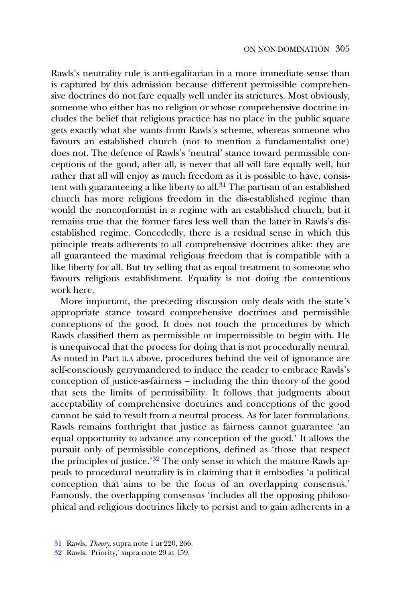Rawls's neutrality rule is anti-egalitarian in a more immediate sense than is captured by this admission because different permissible comprehensive doctrines do not fare equally well under its strictures. Most obviously, someone who either has no religion or whose comprehensive doctrine includes the belief that religious practice has no place in the public square gets exactly what she wants from Rawls's scheme, whereas someone who favours an established church (not to mention a fundamentalist one) does not. The defence of Rawls's 'neutral' stance toward permissible conceptions of the good, after all, is never that all will fare equally well, but rather that all will enjoy as much freedom as it is possible to have, consistent with guaranteeing a like liberty to all. $31$  The partisan of an established church has more religious freedom in the dis-established regime than would the nonconformist in a regime with an established church, but it remains true that the former fares less well than the latter in Rawls's disestablished regime. Concededly, there is a residual sense in which this principle treats adherents to all comprehensive doctrines alike: they are all guaranteed the maximal religious freedom that is compatible with a like liberty for all. But try selling that as equal treatment to someone who favours religious establishment. Equality is not doing the contentious work here.

More important, the preceding discussion only deals with the state's appropriate stance toward comprehensive doctrines and permissible conceptions of the good. It does not touch the procedures by which Rawls classified them as permissible or impermissible to begin with. He is unequivocal that the process for doing that is not procedurally neutral. As noted in Part II.A above, procedures behind the veil of ignorance are self-consciously gerrymandered to induce the reader to embrace Rawls's conception of justice-as-fairness – including the thin theory of the good that sets the limits of permissibility. It follows that judgments about acceptability of comprehensive doctrines and conceptions of the good cannot be said to result from a neutral process. As for later formulations, Rawls remains forthright that justice as fairness cannot guarantee 'an equal opportunity to advance any conception of the good.' It allows the pursuit only of permissible conceptions, defined as 'those that respect the principles of justice.'<sup>32</sup> The only sense in which the mature Rawls appeals to procedural neutrality is in claiming that it embodies 'a political conception that aims to be the focus of an overlapping consensus.' Famously, the overlapping consensus 'includes all the opposing philosophical and religious doctrines likely to persist and to gain adherents in a

<sup>31</sup> Rawls, Theory, supra note 1 at 220, 266.

<sup>32</sup> Rawls, 'Priority,' supra note 29 at 459.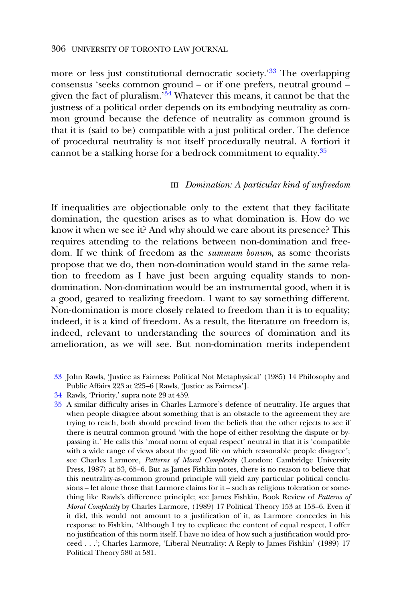more or less just constitutional democratic society.' <sup>33</sup> The overlapping consensus 'seeks common ground – or if one prefers, neutral ground – given the fact of pluralism.'<sup>34</sup> Whatever this means, it cannot be that the justness of a political order depends on its embodying neutrality as common ground because the defence of neutrality as common ground is that it is (said to be) compatible with a just political order. The defence of procedural neutrality is not itself procedurally neutral. A fortiori it cannot be a stalking horse for a bedrock commitment to equality.<sup>35</sup>

# III Domination: A particular kind of unfreedom

If inequalities are objectionable only to the extent that they facilitate domination, the question arises as to what domination is. How do we know it when we see it? And why should we care about its presence? This requires attending to the relations between non-domination and freedom. If we think of freedom as the summum bonum, as some theorists propose that we do, then non-domination would stand in the same relation to freedom as I have just been arguing equality stands to nondomination. Non-domination would be an instrumental good, when it is a good, geared to realizing freedom. I want to say something different. Non-domination is more closely related to freedom than it is to equality; indeed, it is a kind of freedom. As a result, the literature on freedom is, indeed, relevant to understanding the sources of domination and its amelioration, as we will see. But non-domination merits independent

<sup>33</sup> John Rawls, 'Justice as Fairness: Political Not Metaphysical' (1985) 14 Philosophy and Public Affairs 223 at 225–6 [Rawls, 'Justice as Fairness'].

<sup>34</sup> Rawls, 'Priority,' supra note 29 at 459.

<sup>35</sup> A similar difficulty arises in Charles Larmore's defence of neutrality. He argues that when people disagree about something that is an obstacle to the agreement they are trying to reach, both should prescind from the beliefs that the other rejects to see if there is neutral common ground 'with the hope of either resolving the dispute or bypassing it.' He calls this 'moral norm of equal respect' neutral in that it is 'compatible with a wide range of views about the good life on which reasonable people disagree'; see Charles Larmore, Patterns of Moral Complexity (London: Cambridge University Press, 1987) at 53, 65–6. But as James Fishkin notes, there is no reason to believe that this neutrality-as-common ground principle will yield any particular political conclusions – let alone those that Larmore claims for it – such as religious toleration or something like Rawls's difference principle; see James Fishkin, Book Review of Patterns of Moral Complexity by Charles Larmore, (1989) 17 Political Theory 153 at 153–6. Even if it did, this would not amount to a justification of it, as Larmore concedes in his response to Fishkin, 'Although I try to explicate the content of equal respect, I offer no justification of this norm itself. I have no idea of how such a justification would proceed . . .'; Charles Larmore, 'Liberal Neutrality: A Reply to James Fishkin' (1989) 17 Political Theory 580 at 581.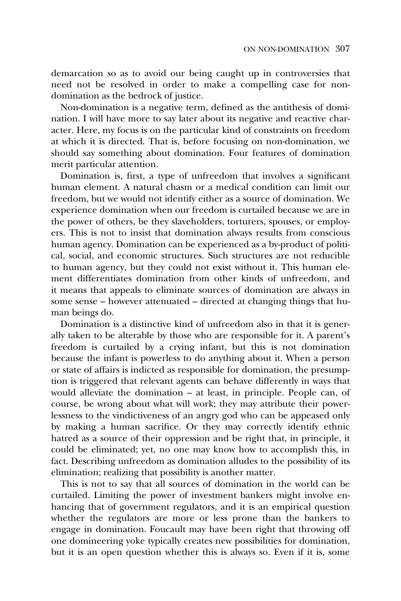demarcation so as to avoid our being caught up in controversies that need not be resolved in order to make a compelling case for nondomination as the bedrock of justice.

Non-domination is a negative term, defined as the antithesis of domination. I will have more to say later about its negative and reactive character. Here, my focus is on the particular kind of constraints on freedom at which it is directed. That is, before focusing on non-domination, we should say something about domination. Four features of domination merit particular attention.

Domination is, first, a type of unfreedom that involves a significant human element. A natural chasm or a medical condition can limit our freedom, but we would not identify either as a source of domination. We experience domination when our freedom is curtailed because we are in the power of others, be they slaveholders, torturers, spouses, or employers. This is not to insist that domination always results from conscious human agency. Domination can be experienced as a by-product of political, social, and economic structures. Such structures are not reducible to human agency, but they could not exist without it. This human element differentiates domination from other kinds of unfreedom, and it means that appeals to eliminate sources of domination are always in some sense – however attenuated – directed at changing things that human beings do.

Domination is a distinctive kind of unfreedom also in that it is generally taken to be alterable by those who are responsible for it. A parent's freedom is curtailed by a crying infant, but this is not domination because the infant is powerless to do anything about it. When a person or state of affairs is indicted as responsible for domination, the presumption is triggered that relevant agents can behave differently in ways that would alleviate the domination – at least, in principle. People can, of course, be wrong about what will work; they may attribute their powerlessness to the vindictiveness of an angry god who can be appeased only by making a human sacrifice. Or they may correctly identify ethnic hatred as a source of their oppression and be right that, in principle, it could be eliminated; yet, no one may know how to accomplish this, in fact. Describing unfreedom as domination alludes to the possibility of its elimination; realizing that possibility is another matter.

This is not to say that all sources of domination in the world can be curtailed. Limiting the power of investment bankers might involve enhancing that of government regulators, and it is an empirical question whether the regulators are more or less prone than the bankers to engage in domination. Foucault may have been right that throwing off one domineering yoke typically creates new possibilities for domination, but it is an open question whether this is always so. Even if it is, some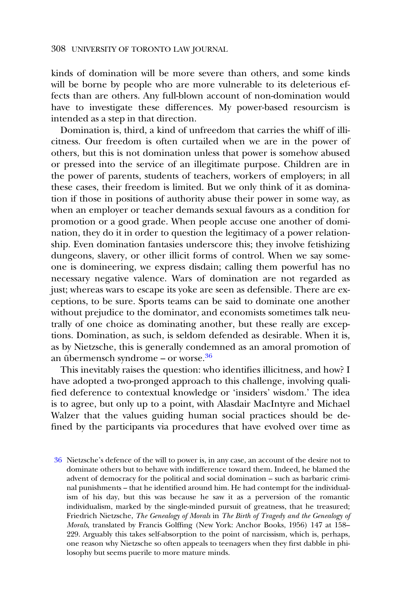# 308 UNIVERSITY OF TORONTO LAW JOURNAL

kinds of domination will be more severe than others, and some kinds will be borne by people who are more vulnerable to its deleterious effects than are others. Any full-blown account of non-domination would have to investigate these differences. My power-based resourcism is intended as a step in that direction.

Domination is, third, a kind of unfreedom that carries the whiff of illicitness. Our freedom is often curtailed when we are in the power of others, but this is not domination unless that power is somehow abused or pressed into the service of an illegitimate purpose. Children are in the power of parents, students of teachers, workers of employers; in all these cases, their freedom is limited. But we only think of it as domination if those in positions of authority abuse their power in some way, as when an employer or teacher demands sexual favours as a condition for promotion or a good grade. When people accuse one another of domination, they do it in order to question the legitimacy of a power relationship. Even domination fantasies underscore this; they involve fetishizing dungeons, slavery, or other illicit forms of control. When we say someone is domineering, we express disdain; calling them powerful has no necessary negative valence. Wars of domination are not regarded as just; whereas wars to escape its yoke are seen as defensible. There are exceptions, to be sure. Sports teams can be said to dominate one another without prejudice to the dominator, and economists sometimes talk neutrally of one choice as dominating another, but these really are exceptions. Domination, as such, is seldom defended as desirable. When it is, as by Nietzsche, this is generally condemned as an amoral promotion of an übermensch syndrome – or worse.36

This inevitably raises the question: who identifies illicitness, and how? I have adopted a two-pronged approach to this challenge, involving qualified deference to contextual knowledge or 'insiders' wisdom.' The idea is to agree, but only up to a point, with Alasdair MacIntyre and Michael Walzer that the values guiding human social practices should be defined by the participants via procedures that have evolved over time as

36 Nietzsche's defence of the will to power is, in any case, an account of the desire not to dominate others but to behave with indifference toward them. Indeed, he blamed the advent of democracy for the political and social domination – such as barbaric criminal punishments – that he identified around him. He had contempt for the individualism of his day, but this was because he saw it as a perversion of the romantic individualism, marked by the single-minded pursuit of greatness, that he treasured; Friedrich Nietzsche, The Genealogy of Morals in The Birth of Tragedy and the Genealogy of Morals, translated by Francis Golffing (New York: Anchor Books, 1956) 147 at 158– 229. Arguably this takes self-absorption to the point of narcissism, which is, perhaps, one reason why Nietzsche so often appeals to teenagers when they first dabble in philosophy but seems puerile to more mature minds.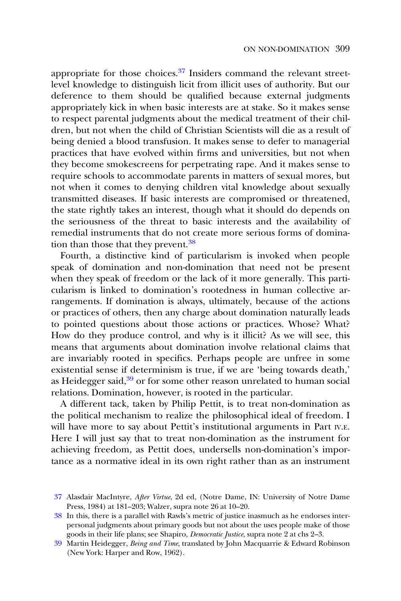appropriate for those choices. $37$  Insiders command the relevant streetlevel knowledge to distinguish licit from illicit uses of authority. But our deference to them should be qualified because external judgments appropriately kick in when basic interests are at stake. So it makes sense to respect parental judgments about the medical treatment of their children, but not when the child of Christian Scientists will die as a result of being denied a blood transfusion. It makes sense to defer to managerial practices that have evolved within firms and universities, but not when they become smokescreens for perpetrating rape. And it makes sense to require schools to accommodate parents in matters of sexual mores, but not when it comes to denying children vital knowledge about sexually transmitted diseases. If basic interests are compromised or threatened, the state rightly takes an interest, though what it should do depends on the seriousness of the threat to basic interests and the availability of remedial instruments that do not create more serious forms of domination than those that they prevent.<sup>38</sup>

Fourth, a distinctive kind of particularism is invoked when people speak of domination and non-domination that need not be present when they speak of freedom or the lack of it more generally. This particularism is linked to domination's rootedness in human collective arrangements. If domination is always, ultimately, because of the actions or practices of others, then any charge about domination naturally leads to pointed questions about those actions or practices. Whose? What? How do they produce control, and why is it illicit? As we will see, this means that arguments about domination involve relational claims that are invariably rooted in specifics. Perhaps people are unfree in some existential sense if determinism is true, if we are 'being towards death,' as Heidegger said, $39$  or for some other reason unrelated to human social relations. Domination, however, is rooted in the particular.

A different tack, taken by Philip Pettit, is to treat non-domination as the political mechanism to realize the philosophical ideal of freedom. I will have more to say about Pettit's institutional arguments in Part IV.E. Here I will just say that to treat non-domination as the instrument for achieving freedom, as Pettit does, undersells non-domination's importance as a normative ideal in its own right rather than as an instrument

<sup>37</sup> Alasdair MacIntyre, After Virtue, 2d ed, (Notre Dame, IN: University of Notre Dame Press, 1984) at 181–203; Walzer, supra note 26 at 10–20.

<sup>38</sup> In this, there is a parallel with Rawls's metric of justice inasmuch as he endorses interpersonal judgments about primary goods but not about the uses people make of those goods in their life plans; see Shapiro, *Democratic Justice*, supra note 2 at chs 2-3.

<sup>39</sup> Martin Heidegger, Being and Time, translated by John Macquarrie & Edward Robinson (New York: Harper and Row, 1962).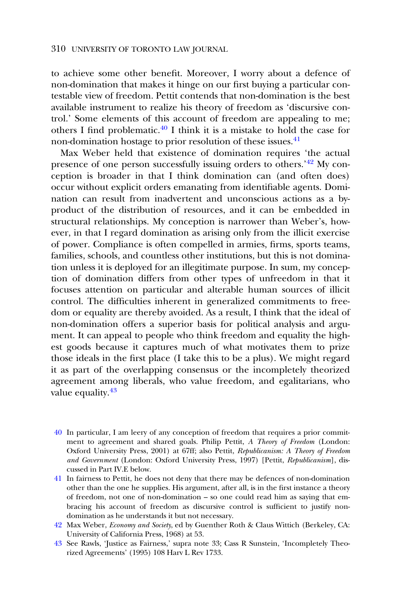to achieve some other benefit. Moreover, I worry about a defence of non-domination that makes it hinge on our first buying a particular contestable view of freedom. Pettit contends that non-domination is the best available instrument to realize his theory of freedom as 'discursive control.' Some elements of this account of freedom are appealing to me; others I find problematic.<sup>40</sup> I think it is a mistake to hold the case for non-domination hostage to prior resolution of these issues.<sup>41</sup>

Max Weber held that existence of domination requires 'the actual presence of one person successfully issuing orders to others.'<sup>42</sup> My conception is broader in that I think domination can (and often does) occur without explicit orders emanating from identifiable agents. Domination can result from inadvertent and unconscious actions as a byproduct of the distribution of resources, and it can be embedded in structural relationships. My conception is narrower than Weber's, however, in that I regard domination as arising only from the illicit exercise of power. Compliance is often compelled in armies, firms, sports teams, families, schools, and countless other institutions, but this is not domination unless it is deployed for an illegitimate purpose. In sum, my conception of domination differs from other types of unfreedom in that it focuses attention on particular and alterable human sources of illicit control. The difficulties inherent in generalized commitments to freedom or equality are thereby avoided. As a result, I think that the ideal of non-domination offers a superior basis for political analysis and argument. It can appeal to people who think freedom and equality the highest goods because it captures much of what motivates them to prize those ideals in the first place (I take this to be a plus). We might regard it as part of the overlapping consensus or the incompletely theorized agreement among liberals, who value freedom, and egalitarians, who value equality.<sup>43</sup>

- 40 In particular, I am leery of any conception of freedom that requires a prior commitment to agreement and shared goals. Philip Pettit, A Theory of Freedom (London: Oxford University Press, 2001) at 67ff; also Pettit, Republicanism: A Theory of Freedom and Government (London: Oxford University Press, 1997) [Pettit, Republicanism], discussed in Part IV.E below.
- 41 In fairness to Pettit, he does not deny that there may be defences of non-domination other than the one he supplies. His argument, after all, is in the first instance a theory of freedom, not one of non-domination – so one could read him as saying that embracing his account of freedom as discursive control is sufficient to justify nondomination as he understands it but not necessary.
- 42 Max Weber, Economy and Society, ed by Guenther Roth & Claus Wittich (Berkeley, CA: University of California Press, 1968) at 53.
- 43 See Rawls, 'Justice as Fairness,' supra note 33; Cass R Sunstein, 'Incompletely Theorized Agreements' (1995) 108 Harv L Rev 1733.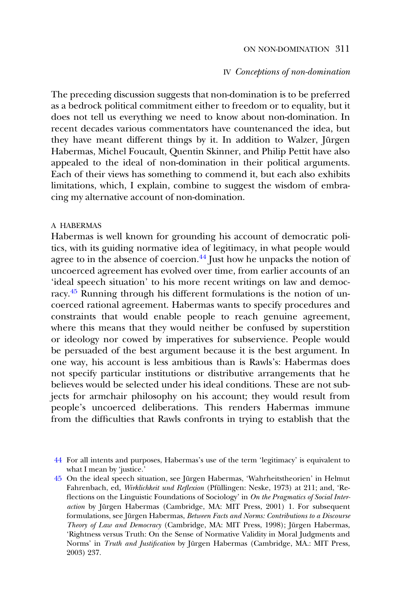#### IV Conceptions of non-domination

The preceding discussion suggests that non-domination is to be preferred as a bedrock political commitment either to freedom or to equality, but it does not tell us everything we need to know about non-domination. In recent decades various commentators have countenanced the idea, but they have meant different things by it. In addition to Walzer, Jürgen Habermas, Michel Foucault, Quentin Skinner, and Philip Pettit have also appealed to the ideal of non-domination in their political arguments. Each of their views has something to commend it, but each also exhibits limitations, which, I explain, combine to suggest the wisdom of embracing my alternative account of non-domination.

# A HABERMAS

Habermas is well known for grounding his account of democratic politics, with its guiding normative idea of legitimacy, in what people would agree to in the absence of coercion.<sup>44</sup> Just how he unpacks the notion of uncoerced agreement has evolved over time, from earlier accounts of an 'ideal speech situation' to his more recent writings on law and democracy.<sup>45</sup> Running through his different formulations is the notion of uncoerced rational agreement. Habermas wants to specify procedures and constraints that would enable people to reach genuine agreement, where this means that they would neither be confused by superstition or ideology nor cowed by imperatives for subservience. People would be persuaded of the best argument because it is the best argument. In one way, his account is less ambitious than is Rawls's: Habermas does not specify particular institutions or distributive arrangements that he believes would be selected under his ideal conditions. These are not subjects for armchair philosophy on his account; they would result from people's uncoerced deliberations. This renders Habermas immune from the difficulties that Rawls confronts in trying to establish that the

<sup>44</sup> For all intents and purposes, Habermas's use of the term 'legitimacy' is equivalent to what I mean by 'justice.'

<sup>45</sup> On the ideal speech situation, see Jürgen Habermas, 'Wahrheitstheorien' in Helmut Fahrenbach, ed, Wirklichkeit und Reflexion (Pfüllingen: Neske, 1973) at 211; and, 'Reflections on the Linguistic Foundations of Sociology' in On the Pragmatics of Social Interaction by Jürgen Habermas (Cambridge, MA: MIT Press, 2001) 1. For subsequent formulations, see Jürgen Habermas, Between Facts and Norms: Contributions to a Discourse Theory of Law and Democracy (Cambridge, MA: MIT Press, 1998); Jürgen Habermas, 'Rightness versus Truth: On the Sense of Normative Validity in Moral Judgments and Norms' in Truth and Justification by Jürgen Habermas (Cambridge, MA.: MIT Press, 2003) 237.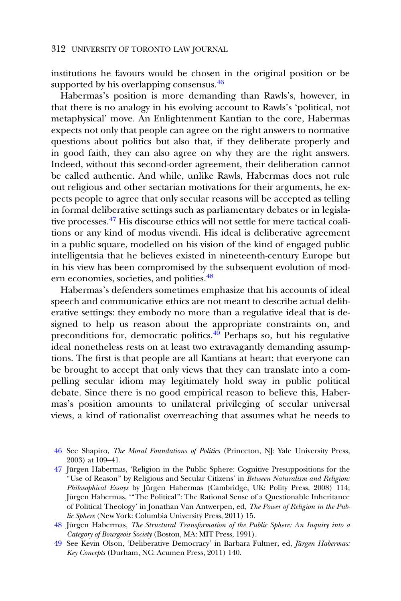institutions he favours would be chosen in the original position or be supported by his overlapping consensus. $46$ 

Habermas's position is more demanding than Rawls's, however, in that there is no analogy in his evolving account to Rawls's 'political, not metaphysical' move. An Enlightenment Kantian to the core, Habermas expects not only that people can agree on the right answers to normative questions about politics but also that, if they deliberate properly and in good faith, they can also agree on why they are the right answers. Indeed, without this second-order agreement, their deliberation cannot be called authentic. And while, unlike Rawls, Habermas does not rule out religious and other sectarian motivations for their arguments, he expects people to agree that only secular reasons will be accepted as telling in formal deliberative settings such as parliamentary debates or in legislative processes.<sup>47</sup> His discourse ethics will not settle for mere tactical coalitions or any kind of modus vivendi. His ideal is deliberative agreement in a public square, modelled on his vision of the kind of engaged public intelligentsia that he believes existed in nineteenth-century Europe but in his view has been compromised by the subsequent evolution of modern economies, societies, and polities.48

Habermas's defenders sometimes emphasize that his accounts of ideal speech and communicative ethics are not meant to describe actual deliberative settings: they embody no more than a regulative ideal that is designed to help us reason about the appropriate constraints on, and preconditions for, democratic politics.<sup>49</sup> Perhaps so, but his regulative ideal nonetheless rests on at least two extravagantly demanding assumptions. The first is that people are all Kantians at heart; that everyone can be brought to accept that only views that they can translate into a compelling secular idiom may legitimately hold sway in public political debate. Since there is no good empirical reason to believe this, Habermas's position amounts to unilateral privileging of secular universal views, a kind of rationalist overreaching that assumes what he needs to

- 46 See Shapiro, The Moral Foundations of Politics (Princeton, NJ: Yale University Press, 2003) at 109–41.
- 47 Jürgen Habermas, 'Religion in the Public Sphere: Cognitive Presuppositions for the "Use of Reason" by Religious and Secular Citizens' in Between Naturalism and Religion: Philosophical Essays by Jürgen Habermas (Cambridge, UK: Polity Press, 2008) 114; Jürgen Habermas, '"The Political": The Rational Sense of a Questionable Inheritance of Political Theology' in Jonathan Van Antwerpen, ed, The Power of Religion in the Public Sphere (New York: Columbia University Press, 2011) 15.
- 48 Jürgen Habermas, The Structural Transformation of the Public Sphere: An Inquiry into a Category of Bourgeois Society (Boston, MA: MIT Press, 1991).
- 49 See Kevin Olson, 'Deliberative Democracy' in Barbara Fultner, ed, Jürgen Habermas: Key Concepts (Durham, NC: Acumen Press, 2011) 140.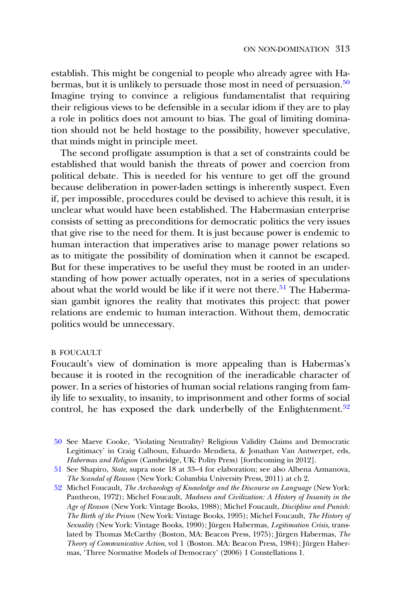establish. This might be congenial to people who already agree with Habermas, but it is unlikely to persuade those most in need of persuasion.<sup>50</sup> Imagine trying to convince a religious fundamentalist that requiring their religious views to be defensible in a secular idiom if they are to play a role in politics does not amount to bias. The goal of limiting domination should not be held hostage to the possibility, however speculative, that minds might in principle meet.

The second profligate assumption is that a set of constraints could be established that would banish the threats of power and coercion from political debate. This is needed for his venture to get off the ground because deliberation in power-laden settings is inherently suspect. Even if, per impossible, procedures could be devised to achieve this result, it is unclear what would have been established. The Habermasian enterprise consists of setting as preconditions for democratic politics the very issues that give rise to the need for them. It is just because power is endemic to human interaction that imperatives arise to manage power relations so as to mitigate the possibility of domination when it cannot be escaped. But for these imperatives to be useful they must be rooted in an understanding of how power actually operates, not in a series of speculations about what the world would be like if it were not there.<sup>51</sup> The Habermasian gambit ignores the reality that motivates this project: that power relations are endemic to human interaction. Without them, democratic politics would be unnecessary.

### B FOUCAULT

Foucault's view of domination is more appealing than is Habermas's because it is rooted in the recognition of the ineradicable character of power. In a series of histories of human social relations ranging from family life to sexuality, to insanity, to imprisonment and other forms of social control, he has exposed the dark underbelly of the Enlightenment.<sup>52</sup>

- 50 See Maeve Cooke, 'Violating Neutrality? Religious Validity Claims and Democratic Legitimacy' in Craig Calhoun, Eduardo Mendieta, & Jonathan Van Antwerpet, eds, Habermas and Religion (Cambridge, UK: Polity Press) [forthcoming in 2012].
- 51 See Shapiro, State, supra note 18 at 33–4 for elaboration; see also Albena Azmanova, The Scandal of Reason (New York: Columbia University Press, 2011) at ch 2.
- 52 Michel Foucault, The Archaeology of Knowledge and the Discourse on Language (New York: Pantheon, 1972); Michel Foucault, Madness and Civilization: A History of Insanity in the Age of Reason (New York: Vintage Books, 1988); Michel Foucault, Discipline and Punish: The Birth of the Prison (New York: Vintage Books, 1995); Michel Foucault, The History of Sexuality (New York: Vintage Books, 1990); Jürgen Habermas, Legitimation Crisis, translated by Thomas McCarthy (Boston, MA: Beacon Press, 1975); Jürgen Habermas, The Theory of Communicative Action, vol 1 (Boston. MA: Beacon Press, 1984); Jürgen Habermas, 'Three Normative Models of Democracy' (2006) 1 Constellations 1.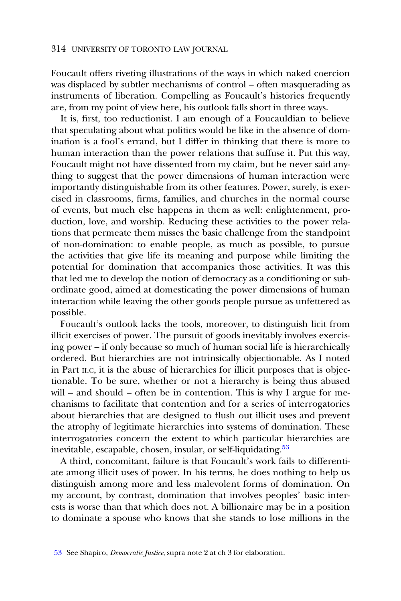#### 314 UNIVERSITY OF TORONTO LAW JOURNAL

Foucault offers riveting illustrations of the ways in which naked coercion was displaced by subtler mechanisms of control – often masquerading as instruments of liberation. Compelling as Foucault's histories frequently are, from my point of view here, his outlook falls short in three ways.

It is, first, too reductionist. I am enough of a Foucauldian to believe that speculating about what politics would be like in the absence of domination is a fool's errand, but I differ in thinking that there is more to human interaction than the power relations that suffuse it. Put this way, Foucault might not have dissented from my claim, but he never said anything to suggest that the power dimensions of human interaction were importantly distinguishable from its other features. Power, surely, is exercised in classrooms, firms, families, and churches in the normal course of events, but much else happens in them as well: enlightenment, production, love, and worship. Reducing these activities to the power relations that permeate them misses the basic challenge from the standpoint of non-domination: to enable people, as much as possible, to pursue the activities that give life its meaning and purpose while limiting the potential for domination that accompanies those activities. It was this that led me to develop the notion of democracy as a conditioning or subordinate good, aimed at domesticating the power dimensions of human interaction while leaving the other goods people pursue as unfettered as possible.

Foucault's outlook lacks the tools, moreover, to distinguish licit from illicit exercises of power. The pursuit of goods inevitably involves exercising power – if only because so much of human social life is hierarchically ordered. But hierarchies are not intrinsically objectionable. As I noted in Part II.C, it is the abuse of hierarchies for illicit purposes that is objectionable. To be sure, whether or not a hierarchy is being thus abused will – and should – often be in contention. This is why I argue for mechanisms to facilitate that contention and for a series of interrogatories about hierarchies that are designed to flush out illicit uses and prevent the atrophy of legitimate hierarchies into systems of domination. These interrogatories concern the extent to which particular hierarchies are inevitable, escapable, chosen, insular, or self-liquidating.<sup>53</sup>

A third, concomitant, failure is that Foucault's work fails to differentiate among illicit uses of power. In his terms, he does nothing to help us distinguish among more and less malevolent forms of domination. On my account, by contrast, domination that involves peoples' basic interests is worse than that which does not. A billionaire may be in a position to dominate a spouse who knows that she stands to lose millions in the

<sup>53</sup> See Shapiro, Democratic Justice, supra note 2 at ch 3 for elaboration.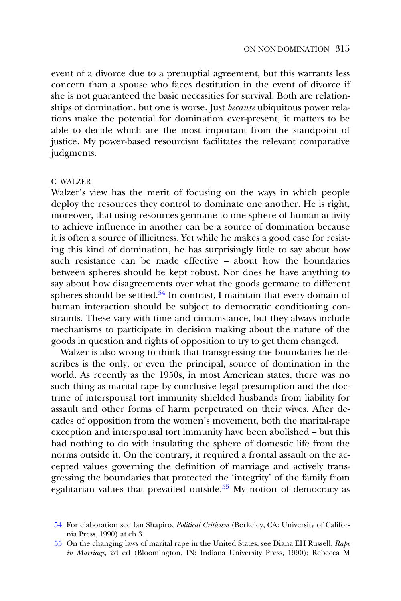event of a divorce due to a prenuptial agreement, but this warrants less concern than a spouse who faces destitution in the event of divorce if she is not guaranteed the basic necessities for survival. Both are relationships of domination, but one is worse. Just *because* ubiquitous power relations make the potential for domination ever-present, it matters to be able to decide which are the most important from the standpoint of justice. My power-based resourcism facilitates the relevant comparative judgments.

# C WALZER

Walzer's view has the merit of focusing on the ways in which people deploy the resources they control to dominate one another. He is right, moreover, that using resources germane to one sphere of human activity to achieve influence in another can be a source of domination because it is often a source of illicitness. Yet while he makes a good case for resisting this kind of domination, he has surprisingly little to say about how such resistance can be made effective – about how the boundaries between spheres should be kept robust. Nor does he have anything to say about how disagreements over what the goods germane to different spheres should be settled.<sup>54</sup> In contrast, I maintain that every domain of human interaction should be subject to democratic conditioning constraints. These vary with time and circumstance, but they always include mechanisms to participate in decision making about the nature of the goods in question and rights of opposition to try to get them changed.

Walzer is also wrong to think that transgressing the boundaries he describes is the only, or even the principal, source of domination in the world. As recently as the 1950s, in most American states, there was no such thing as marital rape by conclusive legal presumption and the doctrine of interspousal tort immunity shielded husbands from liability for assault and other forms of harm perpetrated on their wives. After decades of opposition from the women's movement, both the marital-rape exception and interspousal tort immunity have been abolished – but this had nothing to do with insulating the sphere of domestic life from the norms outside it. On the contrary, it required a frontal assault on the accepted values governing the definition of marriage and actively transgressing the boundaries that protected the 'integrity' of the family from egalitarian values that prevailed outside. $55$  My notion of democracy as

<sup>54</sup> For elaboration see Ian Shapiro, Political Criticism (Berkeley, CA: University of California Press, 1990) at ch 3.

<sup>55</sup> On the changing laws of marital rape in the United States, see Diana EH Russell, Rape in Marriage, 2d ed (Bloomington, IN: Indiana University Press, 1990); Rebecca M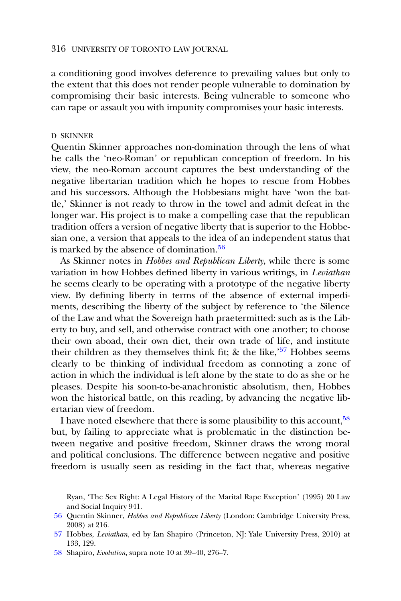#### 316 UNIVERSITY OF TORONTO LAW JOURNAL

a conditioning good involves deference to prevailing values but only to the extent that this does not render people vulnerable to domination by compromising their basic interests. Being vulnerable to someone who can rape or assault you with impunity compromises your basic interests.

#### D SKINNER

Quentin Skinner approaches non-domination through the lens of what he calls the 'neo-Roman' or republican conception of freedom. In his view, the neo-Roman account captures the best understanding of the negative libertarian tradition which he hopes to rescue from Hobbes and his successors. Although the Hobbesians might have 'won the battle,' Skinner is not ready to throw in the towel and admit defeat in the longer war. His project is to make a compelling case that the republican tradition offers a version of negative liberty that is superior to the Hobbesian one, a version that appeals to the idea of an independent status that is marked by the absence of domination.<sup>56</sup>

As Skinner notes in Hobbes and Republican Liberty, while there is some variation in how Hobbes defined liberty in various writings, in Leviathan he seems clearly to be operating with a prototype of the negative liberty view. By defining liberty in terms of the absence of external impediments, describing the liberty of the subject by reference to 'the Silence of the Law and what the Sovereign hath praetermitted: such as is the Liberty to buy, and sell, and otherwise contract with one another; to choose their own aboad, their own diet, their own trade of life, and institute their children as they themselves think fit; & the like,'<sup>57</sup> Hobbes seems clearly to be thinking of individual freedom as connoting a zone of action in which the individual is left alone by the state to do as she or he pleases. Despite his soon-to-be-anachronistic absolutism, then, Hobbes won the historical battle, on this reading, by advancing the negative libertarian view of freedom.

I have noted elsewhere that there is some plausibility to this account,<sup>58</sup> but, by failing to appreciate what is problematic in the distinction between negative and positive freedom, Skinner draws the wrong moral and political conclusions. The difference between negative and positive freedom is usually seen as residing in the fact that, whereas negative

Ryan, 'The Sex Right: A Legal History of the Marital Rape Exception' (1995) 20 Law and Social Inquiry 941.

<sup>56</sup> Quentin Skinner, Hobbes and Republican Liberty (London: Cambridge University Press, 2008) at 216.

<sup>57</sup> Hobbes, Leviathan, ed by Ian Shapiro (Princeton, NJ: Yale University Press, 2010) at 133, 129.

<sup>58</sup> Shapiro, Evolution, supra note 10 at 39–40, 276–7.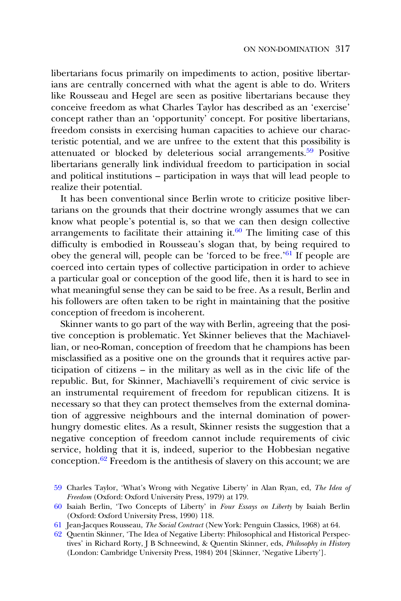libertarians focus primarily on impediments to action, positive libertarians are centrally concerned with what the agent is able to do. Writers like Rousseau and Hegel are seen as positive libertarians because they conceive freedom as what Charles Taylor has described as an 'exercise' concept rather than an 'opportunity' concept. For positive libertarians, freedom consists in exercising human capacities to achieve our characteristic potential, and we are unfree to the extent that this possibility is attenuated or blocked by deleterious social arrangements.<sup>59</sup> Positive libertarians generally link individual freedom to participation in social and political institutions – participation in ways that will lead people to realize their potential.

It has been conventional since Berlin wrote to criticize positive libertarians on the grounds that their doctrine wrongly assumes that we can know what people's potential is, so that we can then design collective arrangements to facilitate their attaining it.<sup>60</sup> The limiting case of this difficulty is embodied in Rousseau's slogan that, by being required to obey the general will, people can be 'forced to be free.'<sup>61</sup> If people are coerced into certain types of collective participation in order to achieve a particular goal or conception of the good life, then it is hard to see in what meaningful sense they can be said to be free. As a result, Berlin and his followers are often taken to be right in maintaining that the positive conception of freedom is incoherent.

Skinner wants to go part of the way with Berlin, agreeing that the positive conception is problematic. Yet Skinner believes that the Machiavellian, or neo-Roman, conception of freedom that he champions has been misclassified as a positive one on the grounds that it requires active participation of citizens – in the military as well as in the civic life of the republic. But, for Skinner, Machiavelli's requirement of civic service is an instrumental requirement of freedom for republican citizens. It is necessary so that they can protect themselves from the external domination of aggressive neighbours and the internal domination of powerhungry domestic elites. As a result, Skinner resists the suggestion that a negative conception of freedom cannot include requirements of civic service, holding that it is, indeed, superior to the Hobbesian negative conception.62 Freedom is the antithesis of slavery on this account; we are

- 60 Isaiah Berlin, 'Two Concepts of Liberty' in Four Essays on Liberty by Isaiah Berlin (Oxford: Oxford University Press, 1990) 118.
- 61 Jean-Jacques Rousseau, The Social Contract (New York: Penguin Classics, 1968) at 64.
- 62 Quentin Skinner, 'The Idea of Negative Liberty: Philosophical and Historical Perspectives' in Richard Rorty, J B Schneewind, & Quentin Skinner, eds, Philosophy in History (London: Cambridge University Press, 1984) 204 [Skinner, 'Negative Liberty'].

<sup>59</sup> Charles Taylor, 'What's Wrong with Negative Liberty' in Alan Ryan, ed, The Idea of Freedom (Oxford: Oxford University Press, 1979) at 179.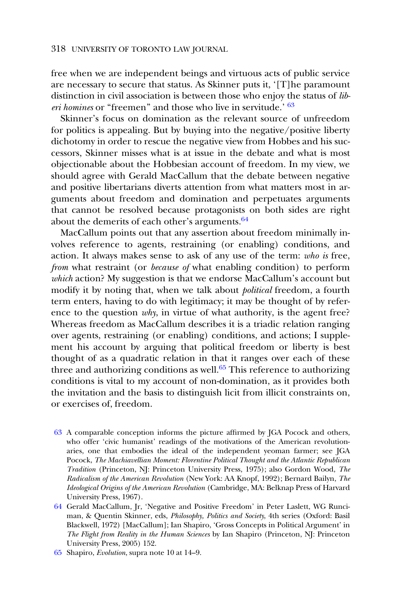#### 318 UNIVERSITY OF TORONTO LAW JOURNAL

free when we are independent beings and virtuous acts of public service are necessary to secure that status. As Skinner puts it, '[T]he paramount distinction in civil association is between those who enjoy the status of *lib*eri homines or "freemen" and those who live in servitude.' <sup>63</sup>

Skinner's focus on domination as the relevant source of unfreedom for politics is appealing. But by buying into the negative/positive liberty dichotomy in order to rescue the negative view from Hobbes and his successors, Skinner misses what is at issue in the debate and what is most objectionable about the Hobbesian account of freedom. In my view, we should agree with Gerald MacCallum that the debate between negative and positive libertarians diverts attention from what matters most in arguments about freedom and domination and perpetuates arguments that cannot be resolved because protagonists on both sides are right about the demerits of each other's arguments.<sup>64</sup>

MacCallum points out that any assertion about freedom minimally involves reference to agents, restraining (or enabling) conditions, and action. It always makes sense to ask of any use of the term: who is free, from what restraint (or because of what enabling condition) to perform which action? My suggestion is that we endorse MacCallum's account but modify it by noting that, when we talk about *political* freedom, a fourth term enters, having to do with legitimacy; it may be thought of by reference to the question why, in virtue of what authority, is the agent free? Whereas freedom as MacCallum describes it is a triadic relation ranging over agents, restraining (or enabling) conditions, and actions; I supplement his account by arguing that political freedom or liberty is best thought of as a quadratic relation in that it ranges over each of these three and authorizing conditions as well.<sup>65</sup> This reference to authorizing conditions is vital to my account of non-domination, as it provides both the invitation and the basis to distinguish licit from illicit constraints on, or exercises of, freedom.

- 63 A comparable conception informs the picture affirmed by JGA Pocock and others, who offer 'civic humanist' readings of the motivations of the American revolutionaries, one that embodies the ideal of the independent yeoman farmer; see JGA Pocock, The Machiavellian Moment: Florentine Political Thought and the Atlantic Republican Tradition (Princeton, NJ: Princeton University Press, 1975); also Gordon Wood, The Radicalism of the American Revolution (New York: AA Knopf, 1992); Bernard Bailyn, The Ideological Origins of the American Revolution (Cambridge, MA: Belknap Press of Harvard University Press, 1967).
- 64 Gerald MacCallum, Jr, 'Negative and Positive Freedom' in Peter Laslett, WG Runciman, & Quentin Skinner, eds, Philosophy, Politics and Society, 4th series (Oxford: Basil Blackwell, 1972) [MacCallum]; Ian Shapiro, 'Gross Concepts in Political Argument' in The Flight from Reality in the Human Sciences by Ian Shapiro (Princeton, NJ: Princeton University Press, 2005) 152.

<sup>65</sup> Shapiro, Evolution, supra note 10 at 14–9.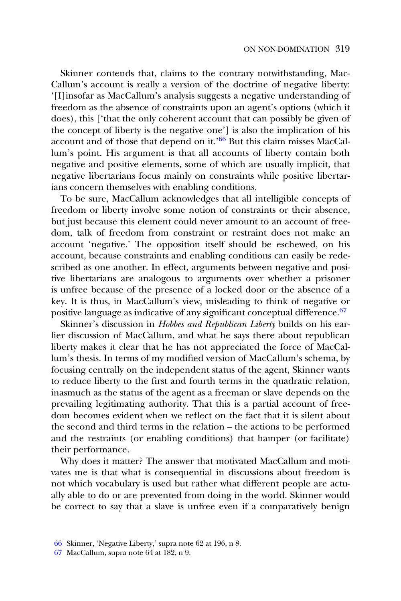Skinner contends that, claims to the contrary notwithstanding, Mac-Callum's account is really a version of the doctrine of negative liberty: '[I]insofar as MacCallum's analysis suggests a negative understanding of freedom as the absence of constraints upon an agent's options (which it does), this ['that the only coherent account that can possibly be given of the concept of liberty is the negative one'] is also the implication of his account and of those that depend on it.'<sup>66</sup> But this claim misses MacCallum's point. His argument is that all accounts of liberty contain both negative and positive elements, some of which are usually implicit, that negative libertarians focus mainly on constraints while positive libertarians concern themselves with enabling conditions.

To be sure, MacCallum acknowledges that all intelligible concepts of freedom or liberty involve some notion of constraints or their absence, but just because this element could never amount to an account of freedom, talk of freedom from constraint or restraint does not make an account 'negative.' The opposition itself should be eschewed, on his account, because constraints and enabling conditions can easily be redescribed as one another. In effect, arguments between negative and positive libertarians are analogous to arguments over whether a prisoner is unfree because of the presence of a locked door or the absence of a key. It is thus, in MacCallum's view, misleading to think of negative or positive language as indicative of any significant conceptual difference.<sup>67</sup>

Skinner's discussion in Hobbes and Republican Liberty builds on his earlier discussion of MacCallum, and what he says there about republican liberty makes it clear that he has not appreciated the force of MacCallum's thesis. In terms of my modified version of MacCallum's schema, by focusing centrally on the independent status of the agent, Skinner wants to reduce liberty to the first and fourth terms in the quadratic relation, inasmuch as the status of the agent as a freeman or slave depends on the prevailing legitimating authority. That this is a partial account of freedom becomes evident when we reflect on the fact that it is silent about the second and third terms in the relation – the actions to be performed and the restraints (or enabling conditions) that hamper (or facilitate) their performance.

Why does it matter? The answer that motivated MacCallum and motivates me is that what is consequential in discussions about freedom is not which vocabulary is used but rather what different people are actually able to do or are prevented from doing in the world. Skinner would be correct to say that a slave is unfree even if a comparatively benign

<sup>66</sup> Skinner, 'Negative Liberty,' supra note 62 at 196, n 8.

<sup>67</sup> MacCallum, supra note 64 at 182, n 9.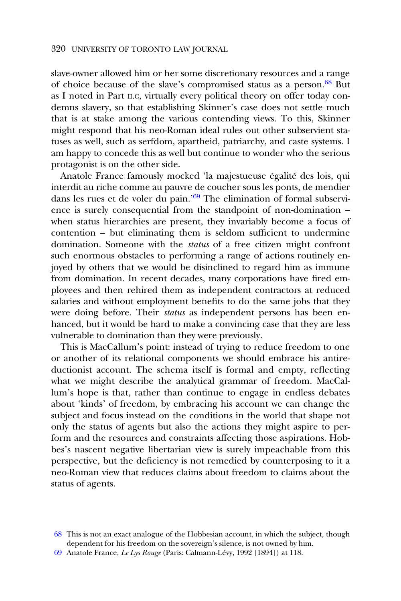slave-owner allowed him or her some discretionary resources and a range of choice because of the slave's compromised status as a person.<sup>68</sup> But as I noted in Part II.C, virtually every political theory on offer today condemns slavery, so that establishing Skinner's case does not settle much that is at stake among the various contending views. To this, Skinner might respond that his neo-Roman ideal rules out other subservient statuses as well, such as serfdom, apartheid, patriarchy, and caste systems. I am happy to concede this as well but continue to wonder who the serious protagonist is on the other side.

Anatole France famously mocked 'la majestueuse égalité des lois, qui interdit au riche comme au pauvre de coucher sous les ponts, de mendier dans les rues et de voler du pain.'<sup>69</sup> The elimination of formal subservience is surely consequential from the standpoint of non-domination – when status hierarchies are present, they invariably become a focus of contention – but eliminating them is seldom sufficient to undermine domination. Someone with the status of a free citizen might confront such enormous obstacles to performing a range of actions routinely enjoyed by others that we would be disinclined to regard him as immune from domination. In recent decades, many corporations have fired employees and then rehired them as independent contractors at reduced salaries and without employment benefits to do the same jobs that they were doing before. Their *status* as independent persons has been enhanced, but it would be hard to make a convincing case that they are less vulnerable to domination than they were previously.

This is MacCallum's point: instead of trying to reduce freedom to one or another of its relational components we should embrace his antireductionist account. The schema itself is formal and empty, reflecting what we might describe the analytical grammar of freedom. MacCallum's hope is that, rather than continue to engage in endless debates about 'kinds' of freedom, by embracing his account we can change the subject and focus instead on the conditions in the world that shape not only the status of agents but also the actions they might aspire to perform and the resources and constraints affecting those aspirations. Hobbes's nascent negative libertarian view is surely impeachable from this perspective, but the deficiency is not remedied by counterposing to it a neo-Roman view that reduces claims about freedom to claims about the status of agents.

<sup>68</sup> This is not an exact analogue of the Hobbesian account, in which the subject, though dependent for his freedom on the sovereign's silence, is not owned by him.

<sup>69</sup> Anatole France, Le Lys Rouge (Paris: Calmann-Lévy, 1992 [1894]) at 118.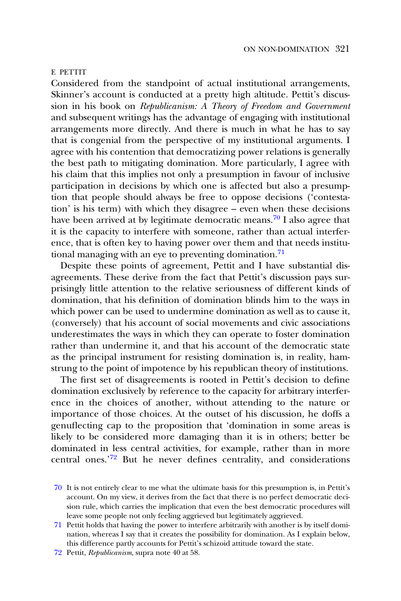#### E PETTIT

Considered from the standpoint of actual institutional arrangements, Skinner's account is conducted at a pretty high altitude. Pettit's discussion in his book on Republicanism: A Theory of Freedom and Government and subsequent writings has the advantage of engaging with institutional arrangements more directly. And there is much in what he has to say that is congenial from the perspective of my institutional arguments. I agree with his contention that democratizing power relations is generally the best path to mitigating domination. More particularly, I agree with his claim that this implies not only a presumption in favour of inclusive participation in decisions by which one is affected but also a presumption that people should always be free to oppose decisions ('contestation' is his term) with which they disagree – even when these decisions have been arrived at by legitimate democratic means.<sup>70</sup> I also agree that it is the capacity to interfere with someone, rather than actual interference, that is often key to having power over them and that needs institutional managing with an eye to preventing domination.<sup>71</sup>

Despite these points of agreement, Pettit and I have substantial disagreements. These derive from the fact that Pettit's discussion pays surprisingly little attention to the relative seriousness of different kinds of domination, that his definition of domination blinds him to the ways in which power can be used to undermine domination as well as to cause it, (conversely) that his account of social movements and civic associations underestimates the ways in which they can operate to foster domination rather than undermine it, and that his account of the democratic state as the principal instrument for resisting domination is, in reality, hamstrung to the point of impotence by his republican theory of institutions.

The first set of disagreements is rooted in Pettit's decision to define domination exclusively by reference to the capacity for arbitrary interference in the choices of another, without attending to the nature or importance of those choices. At the outset of his discussion, he doffs a genuflecting cap to the proposition that 'domination in some areas is likely to be considered more damaging than it is in others; better be dominated in less central activities, for example, rather than in more central ones.' <sup>72</sup> But he never defines centrality, and considerations

<sup>70</sup> It is not entirely clear to me what the ultimate basis for this presumption is, in Pettit's account. On my view, it derives from the fact that there is no perfect democratic decision rule, which carries the implication that even the best democratic procedures will leave some people not only feeling aggrieved but legitimately aggrieved.

<sup>71</sup> Pettit holds that having the power to interfere arbitrarily with another is by itself domination, whereas I say that it creates the possibility for domination. As I explain below, this difference partly accounts for Pettit's schizoid attitude toward the state.

<sup>72</sup> Pettit, Republicanism, supra note 40 at 58.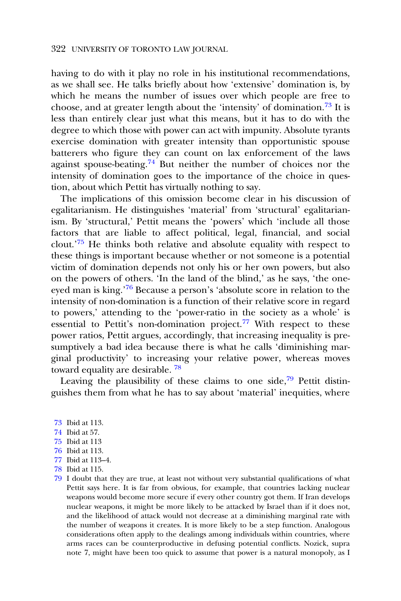having to do with it play no role in his institutional recommendations, as we shall see. He talks briefly about how 'extensive' domination is, by which he means the number of issues over which people are free to choose, and at greater length about the 'intensity' of domination.<sup>73</sup> It is less than entirely clear just what this means, but it has to do with the degree to which those with power can act with impunity. Absolute tyrants exercise domination with greater intensity than opportunistic spouse batterers who figure they can count on lax enforcement of the laws against spouse-beating.<sup>74</sup> But neither the number of choices nor the intensity of domination goes to the importance of the choice in question, about which Pettit has virtually nothing to say.

The implications of this omission become clear in his discussion of egalitarianism. He distinguishes 'material' from 'structural' egalitarianism. By 'structural,' Pettit means the 'powers' which 'include all those factors that are liable to affect political, legal, financial, and social clout.' <sup>75</sup> He thinks both relative and absolute equality with respect to these things is important because whether or not someone is a potential victim of domination depends not only his or her own powers, but also on the powers of others. 'In the land of the blind,' as he says, 'the oneeyed man is king.' <sup>76</sup> Because a person's 'absolute score in relation to the intensity of non-domination is a function of their relative score in regard to powers,' attending to the 'power-ratio in the society as a whole' is essential to Pettit's non-domination project.<sup>77</sup> With respect to these power ratios, Pettit argues, accordingly, that increasing inequality is presumptively a bad idea because there is what he calls 'diminishing marginal productivity' to increasing your relative power, whereas moves toward equality are desirable. <sup>78</sup>

Leaving the plausibility of these claims to one side, $79$  Pettit distinguishes them from what he has to say about 'material' inequities, where

- 73 Ibid at 113.
- 74 Ibid at 57.
- 75 Ibid at 113
- 76 Ibid at 113.
- 77 Ibid at 113–4.
- 78 Ibid at 115.
- 79 I doubt that they are true, at least not without very substantial qualifications of what Pettit says here. It is far from obvious, for example, that countries lacking nuclear weapons would become more secure if every other country got them. If Iran develops nuclear weapons, it might be more likely to be attacked by Israel than if it does not, and the likelihood of attack would not decrease at a diminishing marginal rate with the number of weapons it creates. It is more likely to be a step function. Analogous considerations often apply to the dealings among individuals within countries, where arms races can be counterproductive in defusing potential conflicts. Nozick, supra note 7, might have been too quick to assume that power is a natural monopoly, as I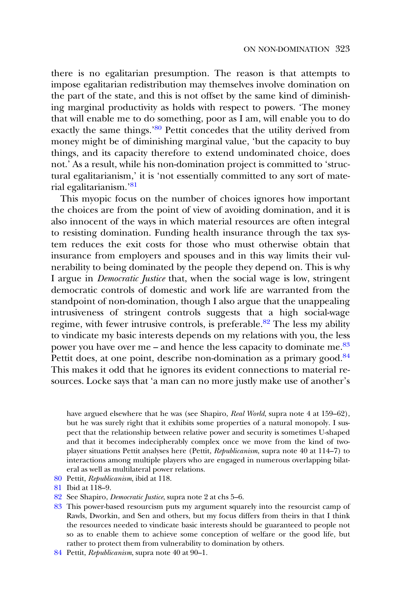there is no egalitarian presumption. The reason is that attempts to impose egalitarian redistribution may themselves involve domination on the part of the state, and this is not offset by the same kind of diminishing marginal productivity as holds with respect to powers. 'The money that will enable me to do something, poor as I am, will enable you to do exactly the same things.'<sup>80</sup> Pettit concedes that the utility derived from money might be of diminishing marginal value, 'but the capacity to buy things, and its capacity therefore to extend undominated choice, does not.' As a result, while his non-domination project is committed to 'structural egalitarianism,' it is 'not essentially committed to any sort of material egalitarianism.' 81

This myopic focus on the number of choices ignores how important the choices are from the point of view of avoiding domination, and it is also innocent of the ways in which material resources are often integral to resisting domination. Funding health insurance through the tax system reduces the exit costs for those who must otherwise obtain that insurance from employers and spouses and in this way limits their vulnerability to being dominated by the people they depend on. This is why I argue in Democratic Justice that, when the social wage is low, stringent democratic controls of domestic and work life are warranted from the standpoint of non-domination, though I also argue that the unappealing intrusiveness of stringent controls suggests that a high social-wage regime, with fewer intrusive controls, is preferable.<sup>82</sup> The less my ability to vindicate my basic interests depends on my relations with you, the less power you have over me – and hence the less capacity to dominate me. $83$ Pettit does, at one point, describe non-domination as a primary good.<sup>84</sup> This makes it odd that he ignores its evident connections to material resources. Locke says that 'a man can no more justly make use of another's

have argued elsewhere that he was (see Shapiro, Real World, supra note 4 at 159–62), but he was surely right that it exhibits some properties of a natural monopoly. I suspect that the relationship between relative power and security is sometimes U-shaped and that it becomes indecipherably complex once we move from the kind of twoplayer situations Pettit analyses here (Pettit, Republicanism, supra note 40 at 114–7) to interactions among multiple players who are engaged in numerous overlapping bilateral as well as multilateral power relations.

- 80 Pettit, Republicanism, ibid at 118.
- 81 Ibid at 118–9.
- 82 See Shapiro, Democratic Justice, supra note 2 at chs 5–6.
- 83 This power-based resourcism puts my argument squarely into the resourcist camp of Rawls, Dworkin, and Sen and others, but my focus differs from theirs in that I think the resources needed to vindicate basic interests should be guaranteed to people not so as to enable them to achieve some conception of welfare or the good life, but rather to protect them from vulnerability to domination by others.
- 84 Pettit, Republicanism, supra note 40 at 90–1.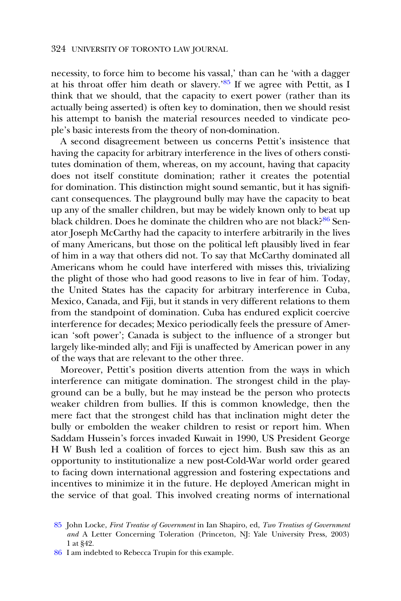#### 324 UNIVERSITY OF TORONTO LAW JOURNAL

necessity, to force him to become his vassal,' than can he 'with a dagger at his throat offer him death or slavery.'<sup>85</sup> If we agree with Pettit, as I think that we should, that the capacity to exert power (rather than its actually being asserted) is often key to domination, then we should resist his attempt to banish the material resources needed to vindicate people's basic interests from the theory of non-domination.

A second disagreement between us concerns Pettit's insistence that having the capacity for arbitrary interference in the lives of others constitutes domination of them, whereas, on my account, having that capacity does not itself constitute domination; rather it creates the potential for domination. This distinction might sound semantic, but it has significant consequences. The playground bully may have the capacity to beat up any of the smaller children, but may be widely known only to beat up black children. Does he dominate the children who are not black?86 Senator Joseph McCarthy had the capacity to interfere arbitrarily in the lives of many Americans, but those on the political left plausibly lived in fear of him in a way that others did not. To say that McCarthy dominated all Americans whom he could have interfered with misses this, trivializing the plight of those who had good reasons to live in fear of him. Today, the United States has the capacity for arbitrary interference in Cuba, Mexico, Canada, and Fiji, but it stands in very different relations to them from the standpoint of domination. Cuba has endured explicit coercive interference for decades; Mexico periodically feels the pressure of American 'soft power'; Canada is subject to the influence of a stronger but largely like-minded ally; and Fiji is unaffected by American power in any of the ways that are relevant to the other three.

Moreover, Pettit's position diverts attention from the ways in which interference can mitigate domination. The strongest child in the playground can be a bully, but he may instead be the person who protects weaker children from bullies. If this is common knowledge, then the mere fact that the strongest child has that inclination might deter the bully or embolden the weaker children to resist or report him. When Saddam Hussein's forces invaded Kuwait in 1990, US President George H W Bush led a coalition of forces to eject him. Bush saw this as an opportunity to institutionalize a new post-Cold-War world order geared to facing down international aggression and fostering expectations and incentives to minimize it in the future. He deployed American might in the service of that goal. This involved creating norms of international

<sup>85</sup> John Locke, First Treatise of Government in Ian Shapiro, ed, Two Treatises of Government and A Letter Concerning Toleration (Princeton, NJ: Yale University Press, 2003) 1 at §42.

<sup>86</sup> I am indebted to Rebecca Trupin for this example.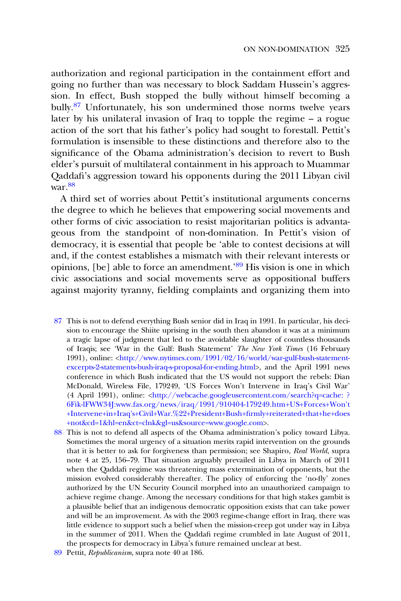authorization and regional participation in the containment effort and going no further than was necessary to block Saddam Hussein's aggression. In effect, Bush stopped the bully without himself becoming a bully.<sup>87</sup> Unfortunately, his son undermined those norms twelve years later by his unilateral invasion of Iraq to topple the regime – a rogue action of the sort that his father's policy had sought to forestall. Pettit's formulation is insensible to these distinctions and therefore also to the significance of the Obama administration's decision to revert to Bush elder's pursuit of multilateral containment in his approach to Muammar Qaddafi's aggression toward his opponents during the 2011 Libyan civil war.<sup>88</sup>

A third set of worries about Pettit's institutional arguments concerns the degree to which he believes that empowering social movements and other forms of civic association to resist majoritarian politics is advantageous from the standpoint of non-domination. In Pettit's vision of democracy, it is essential that people be 'able to contest decisions at will and, if the contest establishes a mismatch with their relevant interests or opinions, [be] able to force an amendment.'<sup>89</sup> His vision is one in which civic associations and social movements serve as oppositional buffers against majority tyranny, fielding complaints and organizing them into

- 87 This is not to defend everything Bush senior did in Iraq in 1991. In particular, his decision to encourage the Shiite uprising in the south then abandon it was at a minimum a tragic lapse of judgment that led to the avoidable slaughter of countless thousands of Iraqis; see 'War in the Gulf: Bush Statement' The New York Times (16 February 1991), online: [<http://www.nytimes.com/1991/02/16/world/war-gulf-bush-statement](http://www.nytimes.com/1991/02/16/world/war-gulf-bush-statementexcerpts-2-statements-bush-iraq-s-proposal-for-ending.html)[excerpts-2-statements-bush-iraq-s-proposal-for-ending.html>](http://www.nytimes.com/1991/02/16/world/war-gulf-bush-statementexcerpts-2-statements-bush-iraq-s-proposal-for-ending.html), and the April 1991 news conference in which Bush indicated that the US would not support the rebels: Dian McDonald, Wireless File, 179249, 'US Forces Won't Intervene in Iraq's Civil War' (4 April 1991), online: [<http://webcache.googleusercontent.com/search?q=cache: ?](http://webcache.googleusercontent.com/search?q=cache:?6Fik-lFWW34J:www.fas.org/news/iraq/1991/910404-179249.htm+US+Forces+Won) [6Fik-lFWW34J:www.fas.org/news/iraq/1991/910404-179249.htm+US+Forces+Won't](http://webcache.googleusercontent.com/search?q=cache:?6Fik-lFWW34J:www.fas.org/news/iraq/1991/910404-179249.htm+US+Forces+Won) [+Intervene+in+Iraq's+Civil+War.%22+President+Bush+](http://webcache.googleusercontent.com/search?q=cache:?6Fik-lFWW34J:www.fas.org/news/iraq/1991/910404-179249.htm+US+Forces+Won)firmly+reiterated+that+he+does [+not&cd=1&hl=en&ct=clnk&gl=us&source=www.google.com>.](http://webcache.googleusercontent.com/search?q=cache:?6Fik-lFWW34J:www.fas.org/news/iraq/1991/910404-179249.htm+US+Forces+Won)
- 88 This is not to defend all aspects of the Obama administration's policy toward Libya. Sometimes the moral urgency of a situation merits rapid intervention on the grounds that it is better to ask for forgiveness than permission; see Shapiro, Real World, supra note 4 at 25, 156–79. That situation arguably prevailed in Libya in March of 2011 when the Qaddafi regime was threatening mass extermination of opponents, but the mission evolved considerably thereafter. The policy of enforcing the 'no-fly' zones authorized by the UN Security Council morphed into an unauthorized campaign to achieve regime change. Among the necessary conditions for that high stakes gambit is a plausible belief that an indigenous democratic opposition exists that can take power and will be an improvement. As with the 2003 regime-change effort in Iraq, there was little evidence to support such a belief when the mission-creep got under way in Libya in the summer of 2011. When the Qaddafi regime crumbled in late August of 2011, the prospects for democracy in Libya's future remained unclear at best.

<sup>89</sup> Pettit, Republicanism, supra note 40 at 186.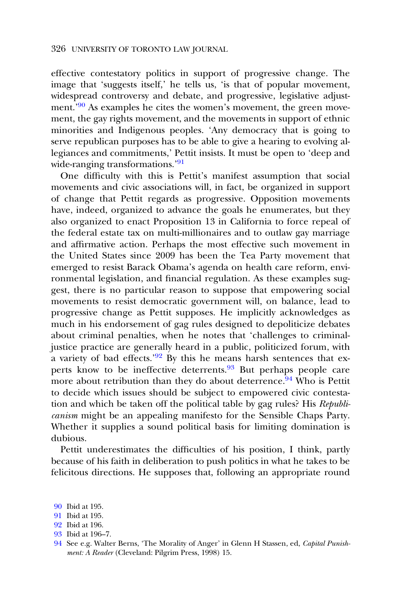effective contestatory politics in support of progressive change. The image that 'suggests itself,' he tells us, 'is that of popular movement, widespread controversy and debate, and progressive, legislative adjustment.'<sup>90</sup> As examples he cites the women's movement, the green movement, the gay rights movement, and the movements in support of ethnic minorities and Indigenous peoples. 'Any democracy that is going to serve republican purposes has to be able to give a hearing to evolving allegiances and commitments,' Pettit insists. It must be open to 'deep and wide-ranging transformations.' 91

One difficulty with this is Pettit's manifest assumption that social movements and civic associations will, in fact, be organized in support of change that Pettit regards as progressive. Opposition movements have, indeed, organized to advance the goals he enumerates, but they also organized to enact Proposition 13 in California to force repeal of the federal estate tax on multi-millionaires and to outlaw gay marriage and affirmative action. Perhaps the most effective such movement in the United States since 2009 has been the Tea Party movement that emerged to resist Barack Obama's agenda on health care reform, environmental legislation, and financial regulation. As these examples suggest, there is no particular reason to suppose that empowering social movements to resist democratic government will, on balance, lead to progressive change as Pettit supposes. He implicitly acknowledges as much in his endorsement of gag rules designed to depoliticize debates about criminal penalties, when he notes that 'challenges to criminaljustice practice are generally heard in a public, politicized forum, with a variety of bad effects.'<sup>92</sup> By this he means harsh sentences that experts know to be ineffective deterrents.<sup>93</sup> But perhaps people care more about retribution than they do about deterrence.<sup>94</sup> Who is Pettit to decide which issues should be subject to empowered civic contestation and which be taken off the political table by gag rules? His Republicanism might be an appealing manifesto for the Sensible Chaps Party. Whether it supplies a sound political basis for limiting domination is dubious.

Pettit underestimates the difficulties of his position, I think, partly because of his faith in deliberation to push politics in what he takes to be felicitous directions. He supposes that, following an appropriate round

<sup>90</sup> Ibid at 195.

<sup>91</sup> Ibid at 195.

<sup>92</sup> Ibid at 196.

<sup>93</sup> Ibid at 196–7.

<sup>94</sup> See e.g. Walter Berns, 'The Morality of Anger' in Glenn H Stassen, ed, Capital Punishment: A Reader (Cleveland: Pilgrim Press, 1998) 15.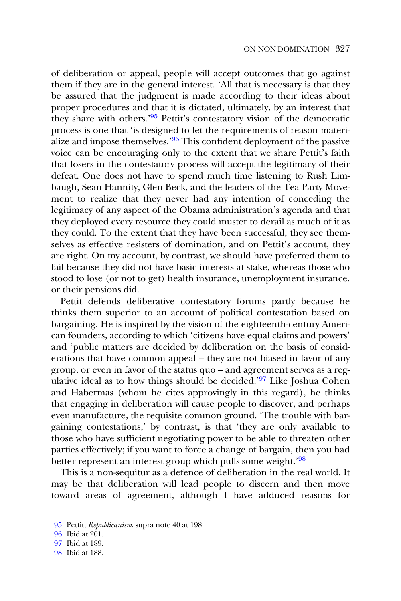of deliberation or appeal, people will accept outcomes that go against them if they are in the general interest. 'All that is necessary is that they be assured that the judgment is made according to their ideas about proper procedures and that it is dictated, ultimately, by an interest that they share with others.'<sup>95</sup> Pettit's contestatory vision of the democratic process is one that 'is designed to let the requirements of reason materialize and impose themselves.'<sup>96</sup> This confident deployment of the passive voice can be encouraging only to the extent that we share Pettit's faith that losers in the contestatory process will accept the legitimacy of their defeat. One does not have to spend much time listening to Rush Limbaugh, Sean Hannity, Glen Beck, and the leaders of the Tea Party Movement to realize that they never had any intention of conceding the legitimacy of any aspect of the Obama administration's agenda and that they deployed every resource they could muster to derail as much of it as they could. To the extent that they have been successful, they see themselves as effective resisters of domination, and on Pettit's account, they are right. On my account, by contrast, we should have preferred them to fail because they did not have basic interests at stake, whereas those who stood to lose (or not to get) health insurance, unemployment insurance, or their pensions did.

Pettit defends deliberative contestatory forums partly because he thinks them superior to an account of political contestation based on bargaining. He is inspired by the vision of the eighteenth-century American founders, according to which 'citizens have equal claims and powers' and 'public matters are decided by deliberation on the basis of considerations that have common appeal – they are not biased in favor of any group, or even in favor of the status quo – and agreement serves as a regulative ideal as to how things should be decided.'<sup>97</sup> Like Joshua Cohen and Habermas (whom he cites approvingly in this regard), he thinks that engaging in deliberation will cause people to discover, and perhaps even manufacture, the requisite common ground. 'The trouble with bargaining contestations,' by contrast, is that 'they are only available to those who have sufficient negotiating power to be able to threaten other parties effectively; if you want to force a change of bargain, then you had better represent an interest group which pulls some weight.'<sup>98</sup>

This is a non-sequitur as a defence of deliberation in the real world. It may be that deliberation will lead people to discern and then move toward areas of agreement, although I have adduced reasons for

<sup>95</sup> Pettit, Republicanism, supra note 40 at 198.

<sup>96</sup> Ibid at 201.

<sup>97</sup> Ibid at 189.

<sup>98</sup> Ibid at 188.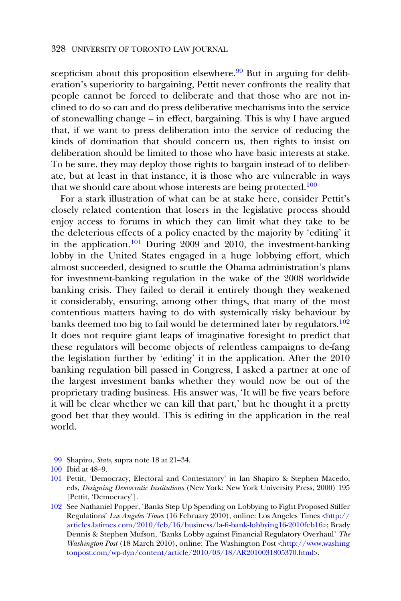scepticism about this proposition elsewhere.<sup>99</sup> But in arguing for deliberation's superiority to bargaining, Pettit never confronts the reality that people cannot be forced to deliberate and that those who are not inclined to do so can and do press deliberative mechanisms into the service of stonewalling change – in effect, bargaining. This is why I have argued that, if we want to press deliberation into the service of reducing the kinds of domination that should concern us, then rights to insist on deliberation should be limited to those who have basic interests at stake. To be sure, they may deploy those rights to bargain instead of to deliberate, but at least in that instance, it is those who are vulnerable in ways that we should care about whose interests are being protected. $100$ 

For a stark illustration of what can be at stake here, consider Pettit's closely related contention that losers in the legislative process should enjoy access to forums in which they can limit what they take to be the deleterious effects of a policy enacted by the majority by 'editing' it in the application.<sup>101</sup> During 2009 and 2010, the investment-banking lobby in the United States engaged in a huge lobbying effort, which almost succeeded, designed to scuttle the Obama administration's plans for investment-banking regulation in the wake of the 2008 worldwide banking crisis. They failed to derail it entirely though they weakened it considerably, ensuring, among other things, that many of the most contentious matters having to do with systemically risky behaviour by banks deemed too big to fail would be determined later by regulators.<sup>102</sup> It does not require giant leaps of imaginative foresight to predict that these regulators will become objects of relentless campaigns to de-fang the legislation further by 'editing' it in the application. After the 2010 banking regulation bill passed in Congress, I asked a partner at one of the largest investment banks whether they would now be out of the proprietary trading business. His answer was, 'It will be five years before it will be clear whether we can kill that part,' but he thought it a pretty good bet that they would. This is editing in the application in the real world.

- 99 Shapiro, State, supra note 18 at 21–34.
- 100 Ibid at 48–9.
- 101 Pettit, 'Democracy, Electoral and Contestatory' in Ian Shapiro & Stephen Macedo, eds, Designing Democratic Institutions (New York: New York University Press, 2000) 195 [Pettit, 'Democracy'].
- 102 See Nathaniel Popper, 'Banks Step Up Spending on Lobbying to Fight Proposed Stiffer Regulations' Los Angeles Times (16 February 2010), online: Los Angeles Times [<http://](http://articles.latimes.com/2010/feb/16/business/la-fi-bank-lobbying16-2010feb16) [articles.latimes.com/2010/feb/16/business/la-](http://articles.latimes.com/2010/feb/16/business/la-fi-bank-lobbying16-2010feb16)fi-bank-lobbying16-2010feb16>; Brady Dennis & Stephen Mufson, 'Banks Lobby against Financial Regulatory Overhaul' The Washington Post (18 March 2010), online: The Washington Post <[http://www.washing](http://www.washingtonpost.com/wp-dyn/content/article/2010/03/18/AR2010031805370.html) [tonpost.com/wp-dyn/content/article/2010/03/18/AR2010031805370.html>.](http://www.washingtonpost.com/wp-dyn/content/article/2010/03/18/AR2010031805370.html)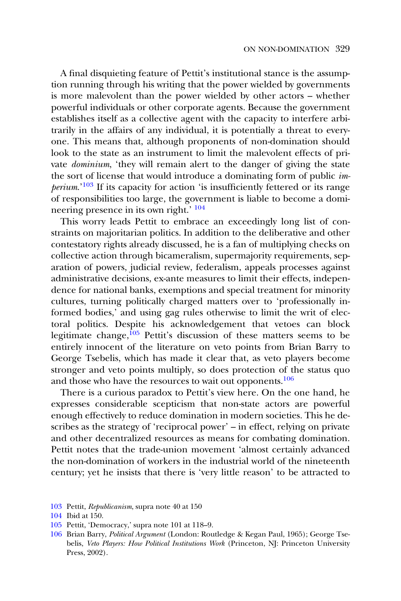A final disquieting feature of Pettit's institutional stance is the assumption running through his writing that the power wielded by governments is more malevolent than the power wielded by other actors – whether powerful individuals or other corporate agents. Because the government establishes itself as a collective agent with the capacity to interfere arbitrarily in the affairs of any individual, it is potentially a threat to everyone. This means that, although proponents of non-domination should look to the state as an instrument to limit the malevolent effects of private dominium, 'they will remain alert to the danger of giving the state the sort of license that would introduce a dominating form of public imperium.'<sup>103</sup> If its capacity for action 'is insufficiently fettered or its range of responsibilities too large, the government is liable to become a domineering presence in its own right.' <sup>104</sup>

This worry leads Pettit to embrace an exceedingly long list of constraints on majoritarian politics. In addition to the deliberative and other contestatory rights already discussed, he is a fan of multiplying checks on collective action through bicameralism, supermajority requirements, separation of powers, judicial review, federalism, appeals processes against administrative decisions, ex-ante measures to limit their effects, independence for national banks, exemptions and special treatment for minority cultures, turning politically charged matters over to 'professionally informed bodies,' and using gag rules otherwise to limit the writ of electoral politics. Despite his acknowledgement that vetoes can block legitimate change,  $105$  Pettit's discussion of these matters seems to be entirely innocent of the literature on veto points from Brian Barry to George Tsebelis, which has made it clear that, as veto players become stronger and veto points multiply, so does protection of the status quo and those who have the resources to wait out opponents.<sup>106</sup>

There is a curious paradox to Pettit's view here. On the one hand, he expresses considerable scepticism that non-state actors are powerful enough effectively to reduce domination in modern societies. This he describes as the strategy of 'reciprocal power' – in effect, relying on private and other decentralized resources as means for combating domination. Pettit notes that the trade-union movement 'almost certainly advanced the non-domination of workers in the industrial world of the nineteenth century; yet he insists that there is 'very little reason' to be attracted to

103 Pettit, Republicanism, supra note 40 at 150

<sup>104</sup> Ibid at 150.

<sup>105</sup> Pettit, 'Democracy,' supra note 101 at 118–9.

<sup>106</sup> Brian Barry, Political Argument (London: Routledge & Kegan Paul, 1965); George Tsebelis, Veto Players: How Political Institutions Work (Princeton, NJ: Princeton University Press, 2002).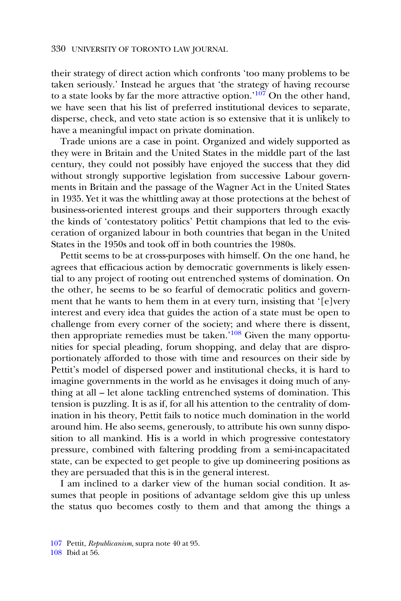#### 330 UNIVERSITY OF TORONTO LAW JOURNAL

their strategy of direct action which confronts 'too many problems to be taken seriously.' Instead he argues that 'the strategy of having recourse to a state looks by far the more attractive option.<sup>'107</sup> On the other hand, we have seen that his list of preferred institutional devices to separate, disperse, check, and veto state action is so extensive that it is unlikely to have a meaningful impact on private domination.

Trade unions are a case in point. Organized and widely supported as they were in Britain and the United States in the middle part of the last century, they could not possibly have enjoyed the success that they did without strongly supportive legislation from successive Labour governments in Britain and the passage of the Wagner Act in the United States in 1935. Yet it was the whittling away at those protections at the behest of business-oriented interest groups and their supporters through exactly the kinds of 'contestatory politics' Pettit champions that led to the evisceration of organized labour in both countries that began in the United States in the 1950s and took off in both countries the 1980s.

Pettit seems to be at cross-purposes with himself. On the one hand, he agrees that efficacious action by democratic governments is likely essential to any project of rooting out entrenched systems of domination. On the other, he seems to be so fearful of democratic politics and government that he wants to hem them in at every turn, insisting that '[e]very interest and every idea that guides the action of a state must be open to challenge from every corner of the society; and where there is dissent, then appropriate remedies must be taken.'<sup>108</sup> Given the many opportunities for special pleading, forum shopping, and delay that are disproportionately afforded to those with time and resources on their side by Pettit's model of dispersed power and institutional checks, it is hard to imagine governments in the world as he envisages it doing much of anything at all – let alone tackling entrenched systems of domination. This tension is puzzling. It is as if, for all his attention to the centrality of domination in his theory, Pettit fails to notice much domination in the world around him. He also seems, generously, to attribute his own sunny disposition to all mankind. His is a world in which progressive contestatory pressure, combined with faltering prodding from a semi-incapacitated state, can be expected to get people to give up domineering positions as they are persuaded that this is in the general interest.

I am inclined to a darker view of the human social condition. It assumes that people in positions of advantage seldom give this up unless the status quo becomes costly to them and that among the things a

108 Ibid at 56.

<sup>107</sup> Pettit, Republicanism, supra note 40 at 95.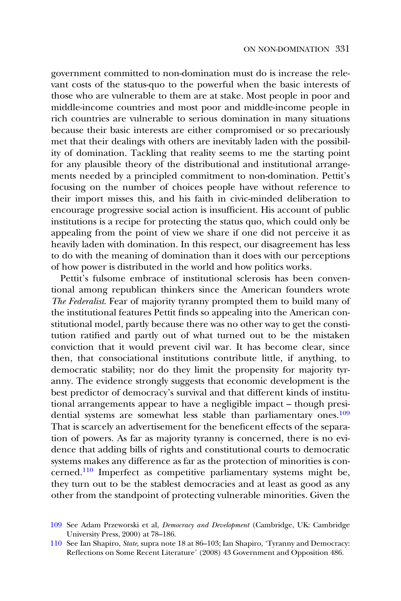government committed to non-domination must do is increase the relevant costs of the status-quo to the powerful when the basic interests of those who are vulnerable to them are at stake. Most people in poor and middle-income countries and most poor and middle-income people in rich countries are vulnerable to serious domination in many situations because their basic interests are either compromised or so precariously met that their dealings with others are inevitably laden with the possibility of domination. Tackling that reality seems to me the starting point for any plausible theory of the distributional and institutional arrangements needed by a principled commitment to non-domination. Pettit's focusing on the number of choices people have without reference to their import misses this, and his faith in civic-minded deliberation to encourage progressive social action is insufficient. His account of public institutions is a recipe for protecting the status quo, which could only be appealing from the point of view we share if one did not perceive it as heavily laden with domination. In this respect, our disagreement has less to do with the meaning of domination than it does with our perceptions of how power is distributed in the world and how politics works.

Pettit's fulsome embrace of institutional sclerosis has been conventional among republican thinkers since the American founders wrote The Federalist. Fear of majority tyranny prompted them to build many of the institutional features Pettit finds so appealing into the American constitutional model, partly because there was no other way to get the constitution ratified and partly out of what turned out to be the mistaken conviction that it would prevent civil war. It has become clear, since then, that consociational institutions contribute little, if anything, to democratic stability; nor do they limit the propensity for majority tyranny. The evidence strongly suggests that economic development is the best predictor of democracy's survival and that different kinds of institutional arrangements appear to have a negligible impact – though presidential systems are somewhat less stable than parliamentary ones.<sup>109</sup> That is scarcely an advertisement for the beneficent effects of the separation of powers. As far as majority tyranny is concerned, there is no evidence that adding bills of rights and constitutional courts to democratic systems makes any difference as far as the protection of minorities is concerned.110 Imperfect as competitive parliamentary systems might be, they turn out to be the stablest democracies and at least as good as any other from the standpoint of protecting vulnerable minorities. Given the

<sup>109</sup> See Adam Przeworski et al, *Democracy and Development* (Cambridge, UK: Cambridge University Press, 2000) at 78–186.

<sup>110</sup> See Ian Shapiro, State, supra note 18 at 86–103; Ian Shapiro, 'Tyranny and Democracy: Reflections on Some Recent Literature' (2008) 43 Government and Opposition 486.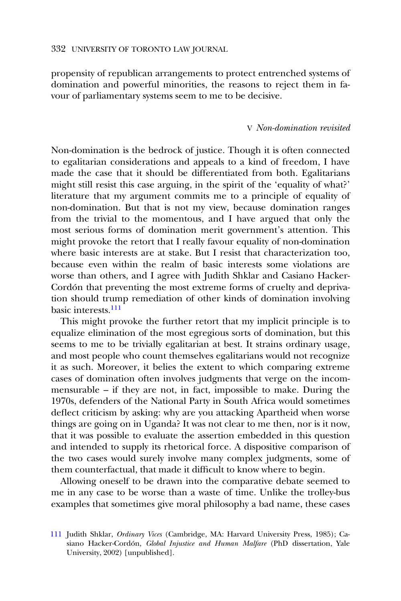propensity of republican arrangements to protect entrenched systems of domination and powerful minorities, the reasons to reject them in favour of parliamentary systems seem to me to be decisive.

### V Non-domination revisited

Non-domination is the bedrock of justice. Though it is often connected to egalitarian considerations and appeals to a kind of freedom, I have made the case that it should be differentiated from both. Egalitarians might still resist this case arguing, in the spirit of the 'equality of what?' literature that my argument commits me to a principle of equality of non-domination. But that is not my view, because domination ranges from the trivial to the momentous, and I have argued that only the most serious forms of domination merit government's attention. This might provoke the retort that I really favour equality of non-domination where basic interests are at stake. But I resist that characterization too, because even within the realm of basic interests some violations are worse than others, and I agree with Judith Shklar and Casiano Hacker-Cordón that preventing the most extreme forms of cruelty and deprivation should trump remediation of other kinds of domination involving basic interests.<sup>111</sup>

This might provoke the further retort that my implicit principle is to equalize elimination of the most egregious sorts of domination, but this seems to me to be trivially egalitarian at best. It strains ordinary usage, and most people who count themselves egalitarians would not recognize it as such. Moreover, it belies the extent to which comparing extreme cases of domination often involves judgments that verge on the incommensurable – if they are not, in fact, impossible to make. During the 1970s, defenders of the National Party in South Africa would sometimes deflect criticism by asking: why are you attacking Apartheid when worse things are going on in Uganda? It was not clear to me then, nor is it now, that it was possible to evaluate the assertion embedded in this question and intended to supply its rhetorical force. A dispositive comparison of the two cases would surely involve many complex judgments, some of them counterfactual, that made it difficult to know where to begin.

Allowing oneself to be drawn into the comparative debate seemed to me in any case to be worse than a waste of time. Unlike the trolley-bus examples that sometimes give moral philosophy a bad name, these cases

<sup>111</sup> Judith Shklar, Ordinary Vices (Cambridge, MA: Harvard University Press, 1985); Casiano Hacker-Cordón, Global Injustice and Human Malfare (PhD dissertation, Yale University, 2002) [unpublished].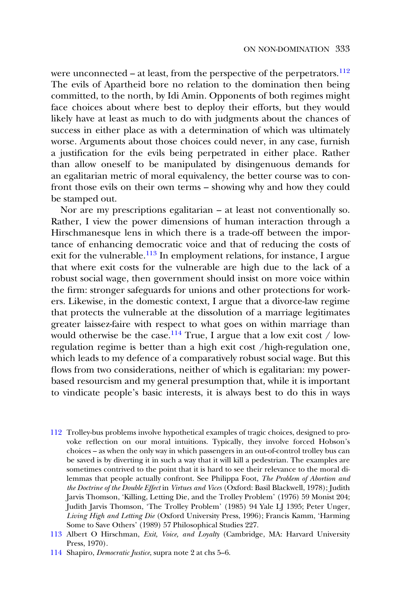were unconnected – at least, from the perspective of the perpetrators.  $\frac{112}{2}$ The evils of Apartheid bore no relation to the domination then being committed, to the north, by Idi Amin. Opponents of both regimes might face choices about where best to deploy their efforts, but they would likely have at least as much to do with judgments about the chances of success in either place as with a determination of which was ultimately worse. Arguments about those choices could never, in any case, furnish a justification for the evils being perpetrated in either place. Rather than allow oneself to be manipulated by disingenuous demands for an egalitarian metric of moral equivalency, the better course was to confront those evils on their own terms – showing why and how they could be stamped out.

Nor are my prescriptions egalitarian – at least not conventionally so. Rather, I view the power dimensions of human interaction through a Hirschmanesque lens in which there is a trade-off between the importance of enhancing democratic voice and that of reducing the costs of exit for the vulnerable.<sup>113</sup> In employment relations, for instance, I argue that where exit costs for the vulnerable are high due to the lack of a robust social wage, then government should insist on more voice within the firm: stronger safeguards for unions and other protections for workers. Likewise, in the domestic context, I argue that a divorce-law regime that protects the vulnerable at the dissolution of a marriage legitimates greater laissez-faire with respect to what goes on within marriage than would otherwise be the case.<sup>114</sup> True, I argue that a low exit cost / lowregulation regime is better than a high exit cost /high-regulation one, which leads to my defence of a comparatively robust social wage. But this flows from two considerations, neither of which is egalitarian: my powerbased resourcism and my general presumption that, while it is important to vindicate people's basic interests, it is always best to do this in ways

- 112 Trolley-bus problems involve hypothetical examples of tragic choices, designed to provoke reflection on our moral intuitions. Typically, they involve forced Hobson's choices – as when the only way in which passengers in an out-of-control trolley bus can be saved is by diverting it in such a way that it will kill a pedestrian. The examples are sometimes contrived to the point that it is hard to see their relevance to the moral dilemmas that people actually confront. See Philippa Foot, The Problem of Abortion and the Doctrine of the Double Effect in Virtues and Vices (Oxford: Basil Blackwell, 1978); Judith Jarvis Thomson, 'Killing, Letting Die, and the Trolley Problem' (1976) 59 Monist 204; Judith Jarvis Thomson, 'The Trolley Problem' (1985) 94 Yale LJ 1395; Peter Unger, Living High and Letting Die (Oxford University Press, 1996); Francis Kamm, 'Harming Some to Save Others' (1989) 57 Philosophical Studies 227.
- 113 Albert O Hirschman, Exit, Voice, and Loyalty (Cambridge, MA: Harvard University Press, 1970).
- 114 Shapiro, Democratic Justice, supra note 2 at chs 5–6.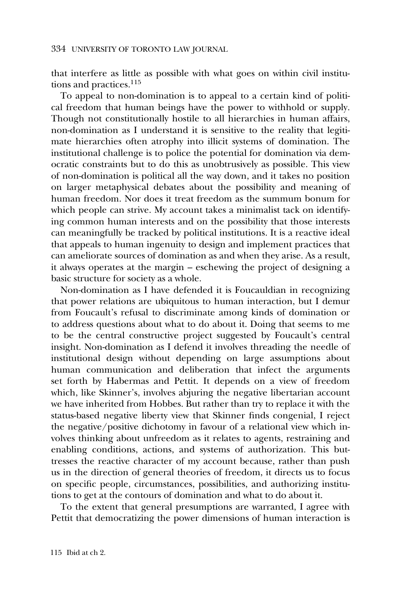that interfere as little as possible with what goes on within civil institutions and practices.<sup>115</sup>

To appeal to non-domination is to appeal to a certain kind of political freedom that human beings have the power to withhold or supply. Though not constitutionally hostile to all hierarchies in human affairs, non-domination as I understand it is sensitive to the reality that legitimate hierarchies often atrophy into illicit systems of domination. The institutional challenge is to police the potential for domination via democratic constraints but to do this as unobtrusively as possible. This view of non-domination is political all the way down, and it takes no position on larger metaphysical debates about the possibility and meaning of human freedom. Nor does it treat freedom as the summum bonum for which people can strive. My account takes a minimalist tack on identifying common human interests and on the possibility that those interests can meaningfully be tracked by political institutions. It is a reactive ideal that appeals to human ingenuity to design and implement practices that can ameliorate sources of domination as and when they arise. As a result, it always operates at the margin – eschewing the project of designing a basic structure for society as a whole.

Non-domination as I have defended it is Foucauldian in recognizing that power relations are ubiquitous to human interaction, but I demur from Foucault's refusal to discriminate among kinds of domination or to address questions about what to do about it. Doing that seems to me to be the central constructive project suggested by Foucault's central insight. Non-domination as I defend it involves threading the needle of institutional design without depending on large assumptions about human communication and deliberation that infect the arguments set forth by Habermas and Pettit. It depends on a view of freedom which, like Skinner's, involves abjuring the negative libertarian account we have inherited from Hobbes. But rather than try to replace it with the status-based negative liberty view that Skinner finds congenial, I reject the negative/positive dichotomy in favour of a relational view which involves thinking about unfreedom as it relates to agents, restraining and enabling conditions, actions, and systems of authorization. This buttresses the reactive character of my account because, rather than push us in the direction of general theories of freedom, it directs us to focus on specific people, circumstances, possibilities, and authorizing institutions to get at the contours of domination and what to do about it.

To the extent that general presumptions are warranted, I agree with Pettit that democratizing the power dimensions of human interaction is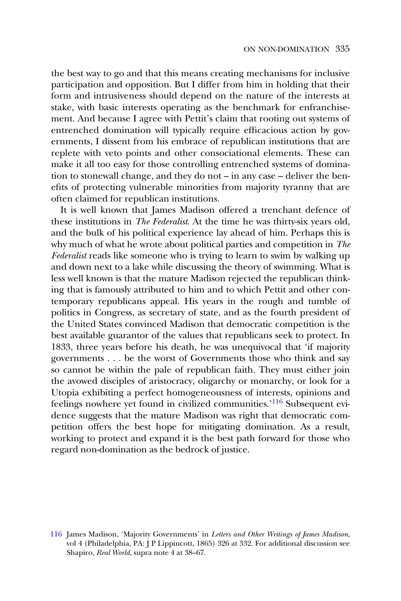the best way to go and that this means creating mechanisms for inclusive participation and opposition. But I differ from him in holding that their form and intrusiveness should depend on the nature of the interests at stake, with basic interests operating as the benchmark for enfranchisement. And because I agree with Pettit's claim that rooting out systems of entrenched domination will typically require efficacious action by governments, I dissent from his embrace of republican institutions that are replete with veto points and other consociational elements. These can make it all too easy for those controlling entrenched systems of domination to stonewall change, and they do not – in any case – deliver the benefits of protecting vulnerable minorities from majority tyranny that are often claimed for republican institutions.

It is well known that James Madison offered a trenchant defence of these institutions in The Federalist. At the time he was thirty-six years old, and the bulk of his political experience lay ahead of him. Perhaps this is why much of what he wrote about political parties and competition in The Federalist reads like someone who is trying to learn to swim by walking up and down next to a lake while discussing the theory of swimming. What is less well known is that the mature Madison rejected the republican thinking that is famously attributed to him and to which Pettit and other contemporary republicans appeal. His years in the rough and tumble of politics in Congress, as secretary of state, and as the fourth president of the United States convinced Madison that democratic competition is the best available guarantor of the values that republicans seek to protect. In 1833, three years before his death, he was unequivocal that 'if majority governments . . . be the worst of Governments those who think and say so cannot be within the pale of republican faith. They must either join the avowed disciples of aristocracy, oligarchy or monarchy, or look for a Utopia exhibiting a perfect homogeneousness of interests, opinions and feelings nowhere yet found in civilized communities.' <sup>116</sup> Subsequent evidence suggests that the mature Madison was right that democratic competition offers the best hope for mitigating domination. As a result, working to protect and expand it is the best path forward for those who regard non-domination as the bedrock of justice.

<sup>116</sup> James Madison, 'Majority Governments' in Letters and Other Writings of James Madison, vol 4 (Philadelphia, PA: J P Lippincott, 1865) 326 at 332. For additional discussion see Shapiro, Real World, supra note 4 at 38–67.